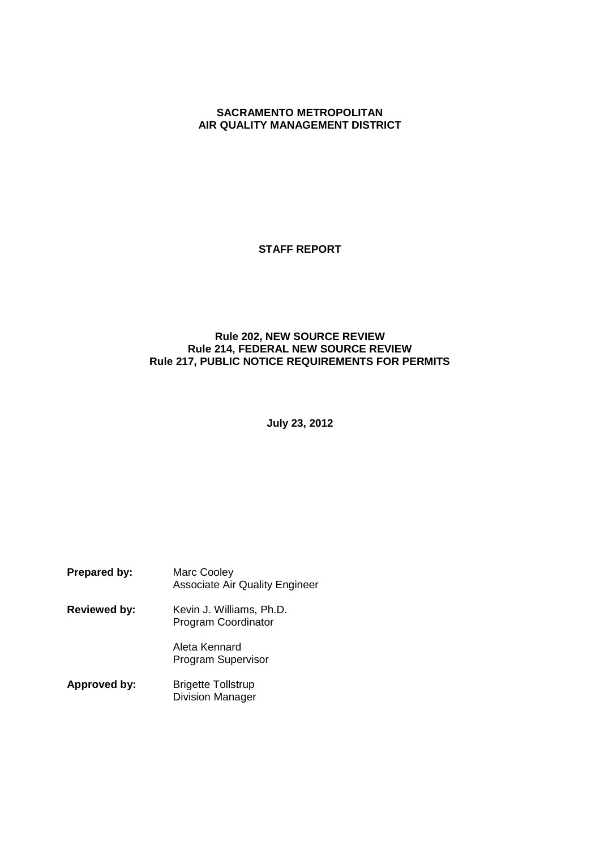## **SACRAMENTO METROPOLITAN AIR QUALITY MANAGEMENT DISTRICT**

**STAFF REPORT**

# **Rule 202, NEW SOURCE REVIEW Rule 214, FEDERAL NEW SOURCE REVIEW Rule 217, PUBLIC NOTICE REQUIREMENTS FOR PERMITS**

**July 23, 2012**

| <b>Prepared by:</b> | Marc Cooley<br><b>Associate Air Quality Engineer</b> |
|---------------------|------------------------------------------------------|
| <b>Reviewed by:</b> | Kevin J. Williams, Ph.D.<br>Program Coordinator      |
|                     | Aleta Kennard<br><b>Program Supervisor</b>           |
| Approved by:        | <b>Brigette Tollstrup</b><br><b>Division Manager</b> |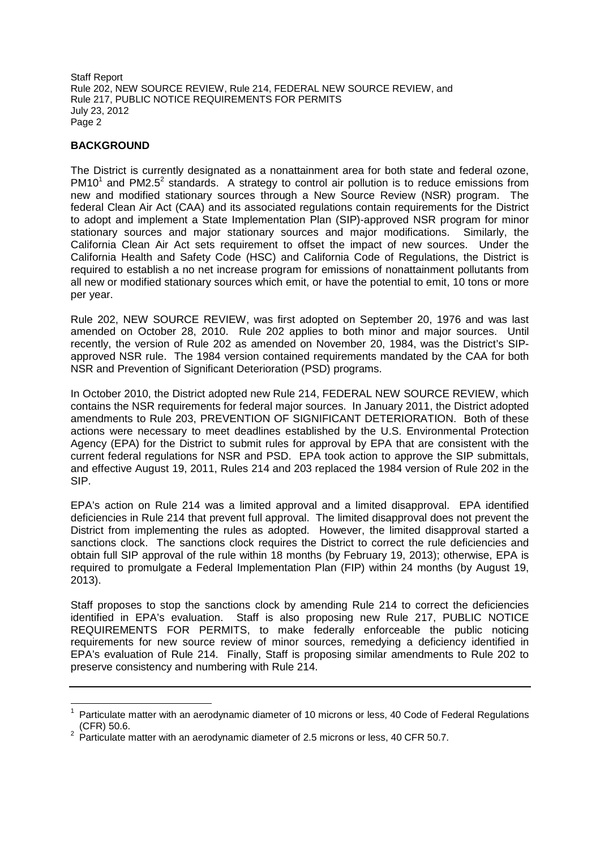# **BACKGROUND**

The District is currently designated as a nonattainment area for both state and federal ozone,  $PM10<sup>1</sup>$  and PM2.5<sup>2</sup> standards. A strategy to control air pollution is to reduce emissions from new and modified stationary sources through a New Source Review (NSR) program. The federal Clean Air Act (CAA) and its associated regulations contain requirements for the District to adopt and implement a State Implementation Plan (SIP)-approved NSR program for minor stationary sources and major stationary sources and major modifications. Similarly, the California Clean Air Act sets requirement to offset the impact of new sources. Under the California Health and Safety Code (HSC) and California Code of Regulations, the District is required to establish a no net increase program for emissions of nonattainment pollutants from all new or modified stationary sources which emit, or have the potential to emit, 10 tons or more per year.

Rule 202, NEW SOURCE REVIEW, was first adopted on September 20, 1976 and was last amended on October 28, 2010. Rule 202 applies to both minor and major sources. Until recently, the version of Rule 202 as amended on November 20, 1984, was the District's SIPapproved NSR rule. The 1984 version contained requirements mandated by the CAA for both NSR and Prevention of Significant Deterioration (PSD) programs.

In October 2010, the District adopted new Rule 214, FEDERAL NEW SOURCE REVIEW, which contains the NSR requirements for federal major sources. In January 2011, the District adopted amendments to Rule 203, PREVENTION OF SIGNIFICANT DETERIORATION. Both of these actions were necessary to meet deadlines established by the U.S. Environmental Protection Agency (EPA) for the District to submit rules for approval by EPA that are consistent with the current federal regulations for NSR and PSD. EPA took action to approve the SIP submittals, and effective August 19, 2011, Rules 214 and 203 replaced the 1984 version of Rule 202 in the SIP.

EPA's action on Rule 214 was a limited approval and a limited disapproval. EPA identified deficiencies in Rule 214 that prevent full approval. The limited disapproval does not prevent the District from implementing the rules as adopted. However, the limited disapproval started a sanctions clock. The sanctions clock requires the District to correct the rule deficiencies and obtain full SIP approval of the rule within 18 months (by February 19, 2013); otherwise, EPA is required to promulgate a Federal Implementation Plan (FIP) within 24 months (by August 19, 2013).

Staff proposes to stop the sanctions clock by amending Rule 214 to correct the deficiencies identified in EPA's evaluation. Staff is also proposing new Rule 217, PUBLIC NOTICE REQUIREMENTS FOR PERMITS, to make federally enforceable the public noticing requirements for new source review of minor sources, remedying a deficiency identified in EPA's evaluation of Rule 214. Finally, Staff is proposing similar amendments to Rule 202 to preserve consistency and numbering with Rule 214.

<sup>1</sup> Particulate matter with an aerodynamic diameter of 10 microns or less, 40 Code of Federal Regulations (CFR) 50.6.

<sup>&</sup>lt;sup>2</sup> Particulate matter with an aerodynamic diameter of 2.5 microns or less, 40 CFR 50.7.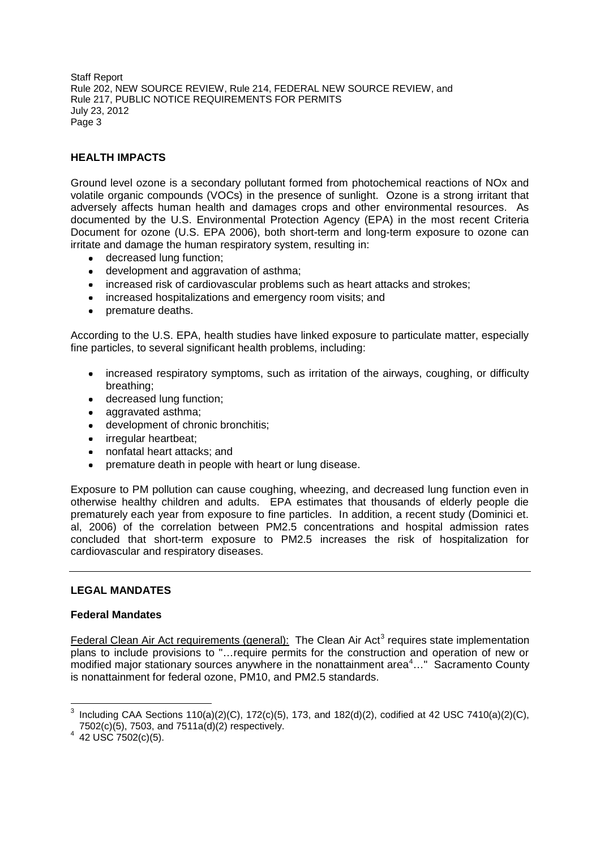# **HEALTH IMPACTS**

Ground level ozone is a secondary pollutant formed from photochemical reactions of NOx and volatile organic compounds (VOCs) in the presence of sunlight. Ozone is a strong irritant that adversely affects human health and damages crops and other environmental resources. As documented by the U.S. Environmental Protection Agency (EPA) in the most recent Criteria Document for ozone (U.S. EPA 2006), both short-term and long-term exposure to ozone can irritate and damage the human respiratory system, resulting in:

- decreased lung function;
- development and aggravation of asthma;
- increased risk of cardiovascular problems such as heart attacks and strokes;
- increased hospitalizations and emergency room visits; and
- premature deaths.

According to the U.S. EPA, health studies have linked exposure to particulate matter, especially fine particles, to several significant health problems, including:

- increased respiratory symptoms, such as irritation of the airways, coughing, or difficulty breathing;
- decreased lung function;
- aggravated asthma:
- development of chronic bronchitis;
- irregular heartbeat;
- nonfatal heart attacks; and
- premature death in people with heart or lung disease.  $\bullet$

Exposure to PM pollution can cause coughing, wheezing, and decreased lung function even in otherwise healthy children and adults. EPA estimates that thousands of elderly people die prematurely each year from exposure to fine particles. In addition, a recent study (Dominici et. al, 2006) of the correlation between PM2.5 concentrations and hospital admission rates concluded that short-term exposure to PM2.5 increases the risk of hospitalization for cardiovascular and respiratory diseases.

## **LEGAL MANDATES**

## **Federal Mandates**

Federal Clean Air Act requirements (general): The Clean Air Act<sup>3</sup> requires state implementation plans to include provisions to "…require permits for the construction and operation of new or modified major stationary sources anywhere in the nonattainment area $4...$ " Sacramento County is nonattainment for federal ozone, PM10, and PM2.5 standards.

<sup>&</sup>lt;sup>3</sup> Including CAA Sections 110(a)(2)(C), 172(c)(5), 173, and 182(d)(2), codified at 42 USC 7410(a)(2)(C), 7502(c)(5), 7503, and 7511a(d)(2) respectively.

 $4\,$  42 USC 7502(c)(5).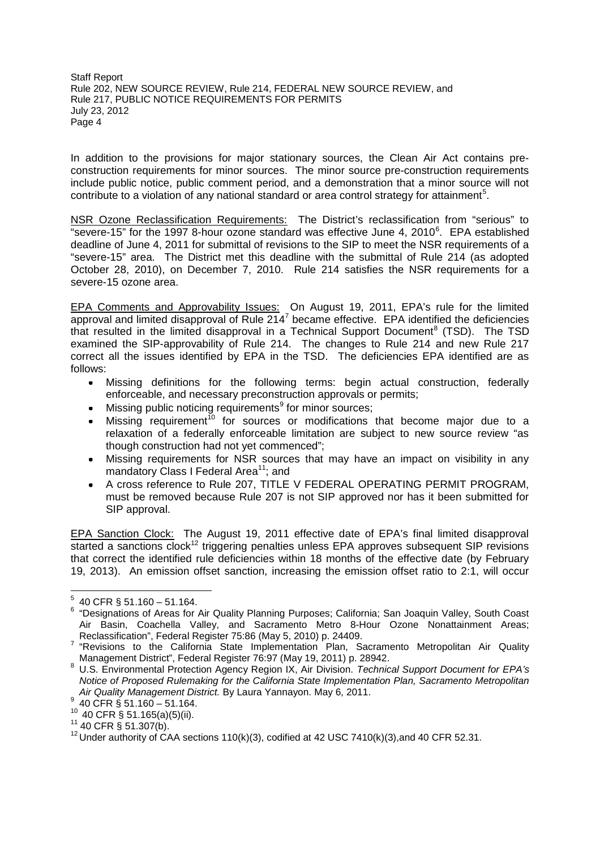In addition to the provisions for major stationary sources, the Clean Air Act contains preconstruction requirements for minor sources. The minor source pre-construction requirements include public notice, public comment period, and a demonstration that a minor source will not contribute to a violation of any national standard or area control strategy for attainment<sup>5</sup>.

NSR Ozone Reclassification Requirements: The District's reclassification from "serious" to "severe-15" for the 1997 8-hour ozone standard was effective June 4, 2010<sup>6</sup>. EPA established deadline of June 4, 2011 for submittal of revisions to the SIP to meet the NSR requirements of a "severe-15" area. The District met this deadline with the submittal of Rule 214 (as adopted October 28, 2010), on December 7, 2010. Rule 214 satisfies the NSR requirements for a severe-15 ozone area.

EPA Comments and Approvability Issues: On August 19, 2011, EPA's rule for the limited approval and limited disapproval of Rule 214 $^7$  became effective. EPA identified the deficiencies that resulted in the limited disapproval in a Technical Support Document<sup>8</sup> (TSD). The TSD examined the SIP-approvability of Rule 214. The changes to Rule 214 and new Rule 217 correct all the issues identified by EPA in the TSD. The deficiencies EPA identified are as follows:

- Missing definitions for the following terms: begin actual construction, federally enforceable, and necessary preconstruction approvals or permits;
- Missing public noticing requirements<sup>9</sup> for minor sources;
- $\bullet$  Missing requirement<sup>10</sup> for sources or modifications that become major due to a relaxation of a federally enforceable limitation are subject to new source review "as though construction had not yet commenced";
- Missing requirements for NSR sources that may have an impact on visibility in any mandatory Class I Federal Area<sup>11</sup>; and
- A cross reference to Rule 207, TITLE V FEDERAL OPERATING PERMIT PROGRAM, must be removed because Rule 207 is not SIP approved nor has it been submitted for SIP approval.

EPA Sanction Clock: The August 19, 2011 effective date of EPA's final limited disapproval started a sanctions clock<sup>12</sup> triggering penalties unless EPA approves subsequent SIP revisions that correct the identified rule deficiencies within 18 months of the effective date (by February 19, 2013). An emission offset sanction, increasing the emission offset ratio to 2:1, will occur

 $5$  40 CFR § 51.160 - 51.164.

<sup>6</sup> "Designations of Areas for Air Quality Planning Purposes; California; San Joaquin Valley, South Coast Air Basin, Coachella Valley, and Sacramento Metro 8-Hour Ozone Nonattainment Areas; Reclassification", Federal Register 75:86 (May 5, 2010) p. 24409.

<sup>&</sup>lt;sup>7</sup> "Revisions to the California State Implementation Plan, Sacramento Metropolitan Air Quality Management District", Federal Register 76:97 (May 19, 2011) p. 28942.

<sup>8</sup> U.S. Environmental Protection Agency Region IX, Air Division. *Technical Support Document for EPA's Notice of Proposed Rulemaking for the California State Implementation Plan, Sacramento Metropolitan Air Quality Management District.* By Laura Yannayon. May 6, 2011.

<sup>9</sup> 40 CFR § 51.160 – 51.164.

<sup>10</sup> 40 CFR § 51.165(a)(5)(ii).

 $11$  40 CFR § 51.307(b).

 $12$  Under authority of CAA sections 110(k)(3), codified at 42 USC 7410(k)(3), and 40 CFR 52.31.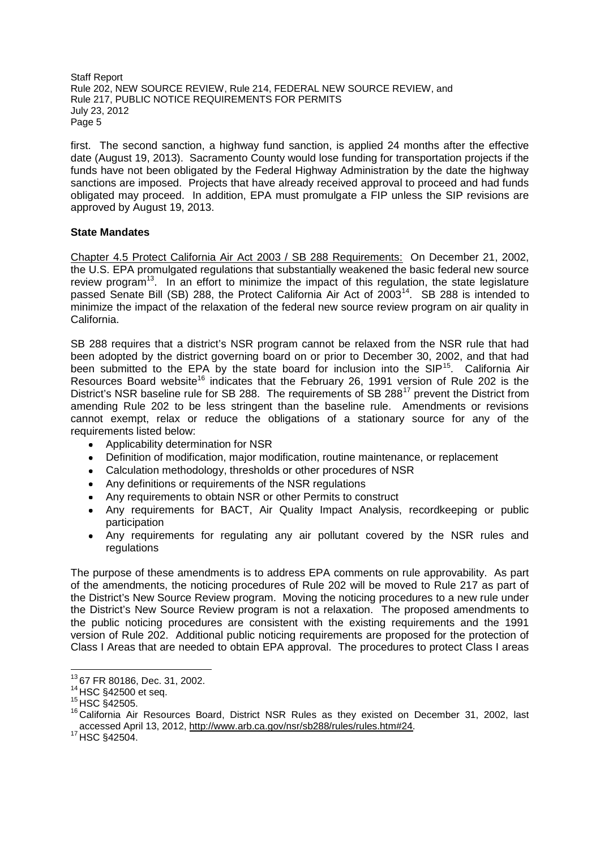first. The second sanction, a highway fund sanction, is applied 24 months after the effective date (August 19, 2013). Sacramento County would lose funding for transportation projects if the funds have not been obligated by the Federal Highway Administration by the date the highway sanctions are imposed. Projects that have already received approval to proceed and had funds obligated may proceed. In addition, EPA must promulgate a FIP unless the SIP revisions are approved by August 19, 2013.

## **State Mandates**

Chapter 4.5 Protect California Air Act 2003 / SB 288 Requirements: On December 21, 2002, the U.S. EPA promulgated regulations that substantially weakened the basic federal new source review program<sup>13</sup>. In an effort to minimize the impact of this regulation, the state legislature passed Senate Bill (SB) 288, the Protect California Air Act of 2003<sup>14</sup>. SB 288 is intended to minimize the impact of the relaxation of the federal new source review program on air quality in California.

SB 288 requires that a district's NSR program cannot be relaxed from the NSR rule that had been adopted by the district governing board on or prior to December 30, 2002, and that had been submitted to the EPA by the state board for inclusion into the  $SIP<sup>15</sup>$ . California Air Resources Board website<sup>16</sup> indicates that the February 26, 1991 version of Rule 202 is the District's NSR baseline rule for SB 288. The requirements of SB 288<sup>17</sup> prevent the District from amending Rule 202 to be less stringent than the baseline rule. Amendments or revisions cannot exempt, relax or reduce the obligations of a stationary source for any of the requirements listed below:

- Applicability determination for NSR
- Definition of modification, major modification, routine maintenance, or replacement
- Calculation methodology, thresholds or other procedures of NSR
- Any definitions or requirements of the NSR regulations
- Any requirements to obtain NSR or other Permits to construct
- Any requirements for BACT, Air Quality Impact Analysis, recordkeeping or public participation
- Any requirements for regulating any air pollutant covered by the NSR rules and regulations

The purpose of these amendments is to address EPA comments on rule approvability. As part of the amendments, the noticing procedures of Rule 202 will be moved to Rule 217 as part of the District's New Source Review program. Moving the noticing procedures to a new rule under the District's New Source Review program is not a relaxation. The proposed amendments to the public noticing procedures are consistent with the existing requirements and the 1991 version of Rule 202. Additional public noticing requirements are proposed for the protection of Class I Areas that are needed to obtain EPA approval. The procedures to protect Class I areas

<sup>13</sup> 67 FR 80186, Dec. 31, 2002.

<sup>14</sup> HSC §42500 et seq.

 $15$  HSC  $$42505$ .

<sup>16</sup> California Air Resources Board, District NSR Rules as they existed on December 31, 2002, last accessed April 13, 2012, http://www.arb.ca.gov/nsr/sb288/rules/rules.htm#24.

<sup>&</sup>lt;sup>17</sup> HSC §42504.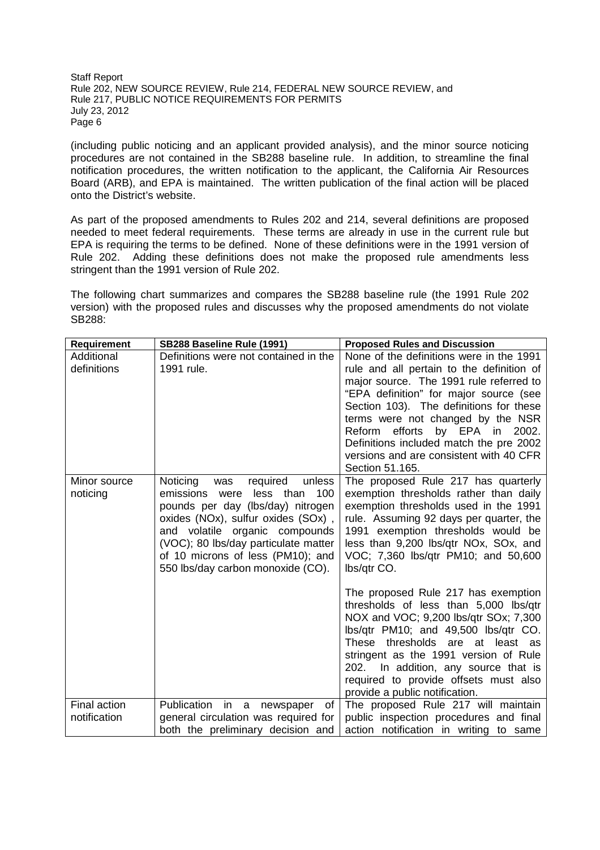(including public noticing and an applicant provided analysis), and the minor source noticing procedures are not contained in the SB288 baseline rule. In addition, to streamline the final notification procedures, the written notification to the applicant, the California Air Resources Board (ARB), and EPA is maintained. The written publication of the final action will be placed onto the District's website.

As part of the proposed amendments to Rules 202 and 214, several definitions are proposed needed to meet federal requirements. These terms are already in use in the current rule but EPA is requiring the terms to be defined. None of these definitions were in the 1991 version of Rule 202. Adding these definitions does not make the proposed rule amendments less stringent than the 1991 version of Rule 202.

The following chart summarizes and compares the SB288 baseline rule (the 1991 Rule 202 version) with the proposed rules and discusses why the proposed amendments do not violate SB288:

| Requirement  | SB288 Baseline Rule (1991)                                              | <b>Proposed Rules and Discussion</b>                                            |
|--------------|-------------------------------------------------------------------------|---------------------------------------------------------------------------------|
| Additional   | Definitions were not contained in the                                   | None of the definitions were in the 1991                                        |
| definitions  | 1991 rule.                                                              | rule and all pertain to the definition of                                       |
|              |                                                                         | major source. The 1991 rule referred to                                         |
|              |                                                                         | "EPA definition" for major source (see                                          |
|              |                                                                         | Section 103). The definitions for these                                         |
|              |                                                                         | terms were not changed by the NSR                                               |
|              |                                                                         | Reform efforts by EPA in<br>2002.                                               |
|              |                                                                         | Definitions included match the pre 2002                                         |
|              |                                                                         | versions and are consistent with 40 CFR                                         |
|              |                                                                         | Section 51.165.                                                                 |
| Minor source | Noticing<br>required<br>unless<br>was                                   | The proposed Rule 217 has quarterly                                             |
| noticing     | emissions were<br>less than<br>100<br>pounds per day (lbs/day) nitrogen | exemption thresholds rather than daily<br>exemption thresholds used in the 1991 |
|              | oxides (NOx), sulfur oxides (SOx),                                      | rule. Assuming 92 days per quarter, the                                         |
|              | and volatile organic compounds                                          | 1991 exemption thresholds would be                                              |
|              | (VOC); 80 lbs/day particulate matter                                    | less than 9,200 lbs/qtr NOx, SOx, and                                           |
|              | of 10 microns of less (PM10); and                                       | VOC; 7,360 lbs/qtr PM10; and 50,600                                             |
|              | 550 lbs/day carbon monoxide (CO).                                       | lbs/qtr CO.                                                                     |
|              |                                                                         |                                                                                 |
|              |                                                                         | The proposed Rule 217 has exemption                                             |
|              |                                                                         | thresholds of less than 5,000 lbs/qtr                                           |
|              |                                                                         | NOX and VOC; 9,200 lbs/qtr SOx; 7,300                                           |
|              |                                                                         | lbs/qtr PM10; and 49,500 lbs/qtr CO.                                            |
|              |                                                                         | These thresholds are at least as                                                |
|              |                                                                         | stringent as the 1991 version of Rule                                           |
|              |                                                                         | 202. In addition, any source that is                                            |
|              |                                                                         | required to provide offsets must also                                           |
|              |                                                                         | provide a public notification.                                                  |
| Final action | Publication<br>in a<br>of<br>newspaper                                  | The proposed Rule 217 will maintain                                             |
| notification | general circulation was required for                                    | public inspection procedures and final                                          |
|              | both the preliminary decision and                                       | action notification in writing to same                                          |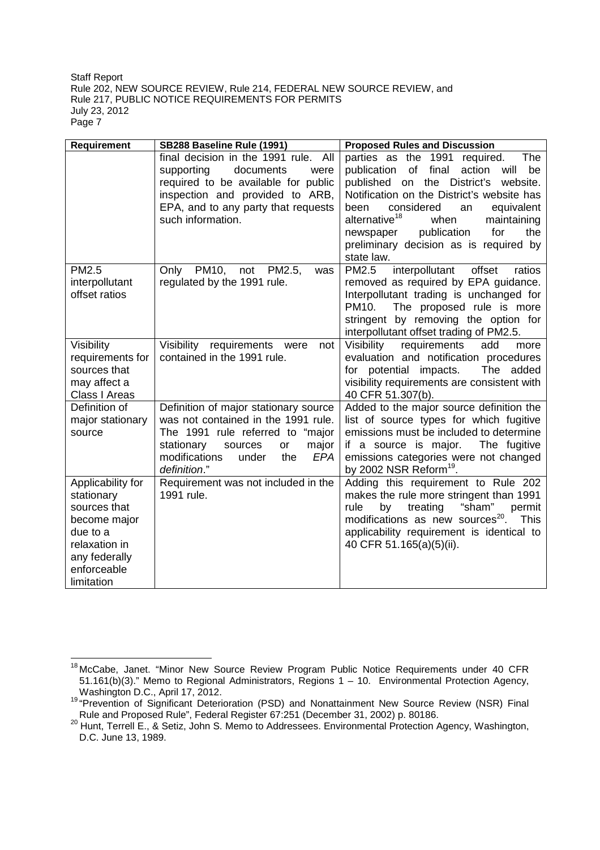| Requirement                                                                                                                                | SB288 Baseline Rule (1991)                                                                                                                                                                                       | <b>Proposed Rules and Discussion</b>                                                                                                                                                                                                                                                                                                                                                          |
|--------------------------------------------------------------------------------------------------------------------------------------------|------------------------------------------------------------------------------------------------------------------------------------------------------------------------------------------------------------------|-----------------------------------------------------------------------------------------------------------------------------------------------------------------------------------------------------------------------------------------------------------------------------------------------------------------------------------------------------------------------------------------------|
|                                                                                                                                            | final decision in the 1991 rule.<br>All<br>supporting<br>documents<br>were<br>required to be available for public<br>inspection and provided to ARB,<br>EPA, and to any party that requests<br>such information. | <b>The</b><br>parties as the 1991 required.<br>of<br>final<br>be<br>publication<br>action<br>will<br>District's<br>website.<br>published on the<br>Notification on the District's website has<br>considered<br>been<br>an<br>equivalent<br>alternative <sup>18</sup><br>when<br>maintaining<br>publication<br>for<br>the<br>newspaper<br>preliminary decision as is required by<br>state law. |
| PM2.5<br>interpollutant<br>offset ratios                                                                                                   | Only PM10,<br>not<br>PM2.5,<br>was<br>regulated by the 1991 rule.                                                                                                                                                | PM2.5<br>interpollutant<br>offset<br>ratios<br>removed as required by EPA guidance.<br>Interpollutant trading is unchanged for<br>PM10.<br>The proposed rule is more<br>stringent by removing the option for<br>interpollutant offset trading of PM2.5.                                                                                                                                       |
| Visibility<br>requirements for<br>sources that<br>may affect a<br>Class I Areas                                                            | Visibility<br>requirements<br>were<br>not<br>contained in the 1991 rule.                                                                                                                                         | Visibility<br>requirements<br>add<br>more<br>evaluation and notification procedures<br>for potential impacts.<br>The added<br>visibility requirements are consistent with<br>40 CFR 51.307(b).                                                                                                                                                                                                |
| Definition of<br>major stationary<br>source                                                                                                | Definition of major stationary source<br>was not contained in the 1991 rule.<br>The 1991 rule referred to "major<br>stationary<br>sources<br>or<br>major<br>modifications<br>EPA<br>under<br>the<br>definition." | Added to the major source definition the<br>list of source types for which fugitive<br>emissions must be included to determine<br>if a source is major.<br>The fugitive<br>emissions categories were not changed<br>by 2002 NSR Reform <sup>19</sup> .                                                                                                                                        |
| Applicability for<br>stationary<br>sources that<br>become major<br>due to a<br>relaxation in<br>any federally<br>enforceable<br>limitation | Requirement was not included in the<br>1991 rule.                                                                                                                                                                | Adding this requirement to Rule 202<br>makes the rule more stringent than 1991<br>"sham"<br>treating<br>permit<br>rule<br>by<br>modifications as new sources <sup>20</sup> .<br><b>This</b><br>applicability requirement is identical to<br>40 CFR 51.165(a)(5)(ii).                                                                                                                          |

<sup>&</sup>lt;sup>18</sup> McCabe, Janet. "Minor New Source Review Program Public Notice Requirements under 40 CFR 51.161(b)(3)." Memo to Regional Administrators, Regions 1 – 10. Environmental Protection Agency, Washington D.C., April 17, 2012.

<sup>&</sup>lt;sup>19</sup> "Prevention of Significant Deterioration (PSD) and Nonattainment New Source Review (NSR) Final Rule and Proposed Rule", Federal Register 67:251 (December 31, 2002) p. 80186.

<sup>&</sup>lt;sup>20</sup> Hunt, Terrell E., & Setiz, John S. Memo to Addressees. Environmental Protection Agency, Washington, D.C. June 13, 1989.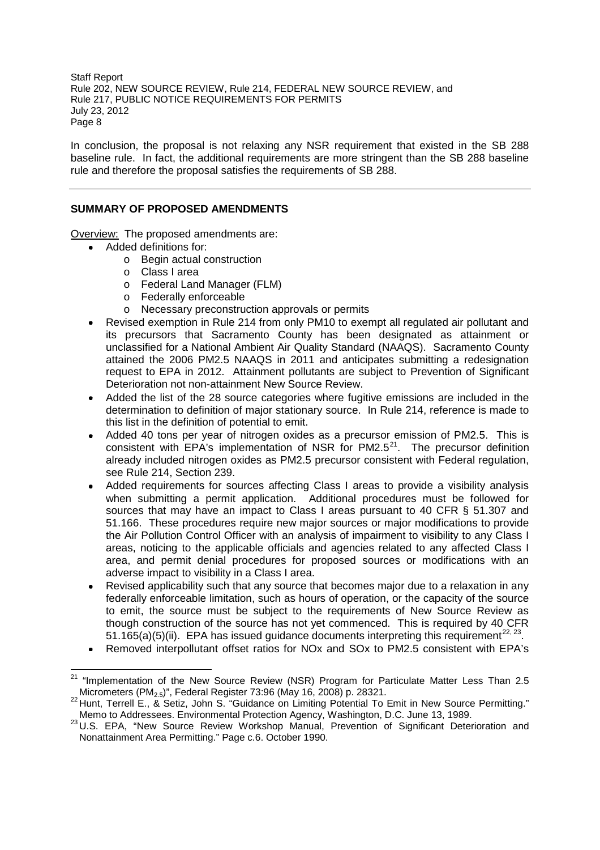In conclusion, the proposal is not relaxing any NSR requirement that existed in the SB 288 baseline rule. In fact, the additional requirements are more stringent than the SB 288 baseline rule and therefore the proposal satisfies the requirements of SB 288.

## **SUMMARY OF PROPOSED AMENDMENTS**

Overview: The proposed amendments are:

- Added definitions for:
	- o Begin actual construction
	- o Class I area
	- o Federal Land Manager (FLM)
	- o Federally enforceable
	- o Necessary preconstruction approvals or permits
- Revised exemption in Rule 214 from only PM10 to exempt all regulated air pollutant and its precursors that Sacramento County has been designated as attainment or unclassified for a National Ambient Air Quality Standard (NAAQS). Sacramento County attained the 2006 PM2.5 NAAQS in 2011 and anticipates submitting a redesignation request to EPA in 2012. Attainment pollutants are subject to Prevention of Significant Deterioration not non-attainment New Source Review.
- Added the list of the 28 source categories where fugitive emissions are included in the determination to definition of major stationary source. In Rule 214, reference is made to this list in the definition of potential to emit.
- Added 40 tons per year of nitrogen oxides as a precursor emission of PM2.5. This is consistent with EPA's implementation of NSR for PM2.5 $^{21}$ . The precursor definition already included nitrogen oxides as PM2.5 precursor consistent with Federal regulation, see Rule 214, Section 239.
- Added requirements for sources affecting Class I areas to provide a visibility analysis when submitting a permit application. Additional procedures must be followed for sources that may have an impact to Class I areas pursuant to 40 CFR § 51.307 and 51.166. These procedures require new major sources or major modifications to provide the Air Pollution Control Officer with an analysis of impairment to visibility to any Class I areas, noticing to the applicable officials and agencies related to any affected Class I area, and permit denial procedures for proposed sources or modifications with an adverse impact to visibility in a Class I area.
- Revised applicability such that any source that becomes major due to a relaxation in any federally enforceable limitation, such as hours of operation, or the capacity of the source to emit, the source must be subject to the requirements of New Source Review as though construction of the source has not yet commenced. This is required by 40 CFR 51.165(a)(5)(ii). EPA has issued guidance documents interpreting this requirement<sup>22, 23</sup>
- Removed interpollutant offset ratios for NOx and SOx to PM2.5 consistent with EPA's

 $21$  "Implementation of the New Source Review (NSR) Program for Particulate Matter Less Than 2.5 Micrometers (PM2.5)", Federal Register 73:96 (May 16, 2008) p. 28321.

<sup>&</sup>lt;sup>22</sup> Hunt, Terrell E., & Setiz, John S. "Guidance on Limiting Potential To Emit in New Source Permitting." Memo to Addressees. Environmental Protection Agency, Washington, D.C. June 13, 1989.

<sup>23</sup> U.S. EPA, "New Source Review Workshop Manual, Prevention of Significant Deterioration and Nonattainment Area Permitting." Page c.6. October 1990.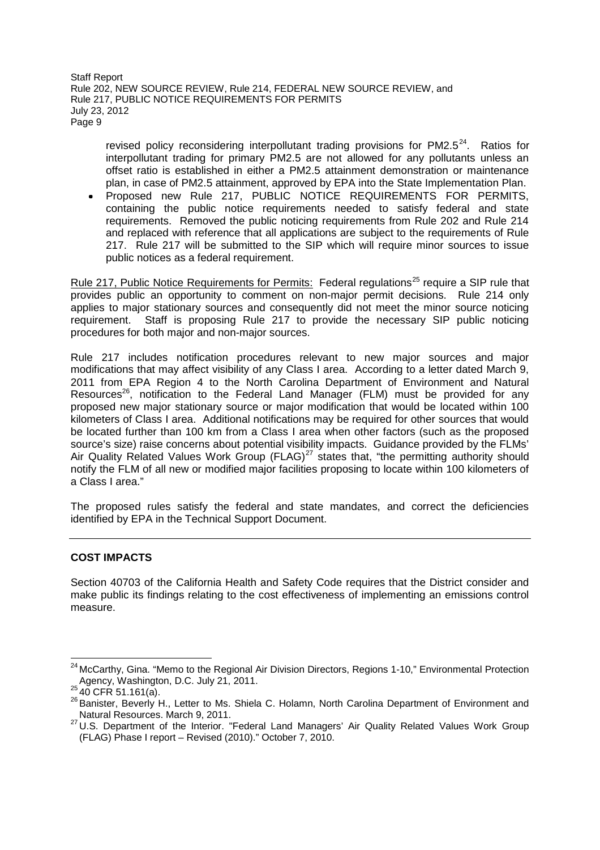revised policy reconsidering interpollutant trading provisions for  $PM2.5<sup>24</sup>$ . Ratios for interpollutant trading for primary PM2.5 are not allowed for any pollutants unless an offset ratio is established in either a PM2.5 attainment demonstration or maintenance plan, in case of PM2.5 attainment, approved by EPA into the State Implementation Plan.

Proposed new Rule 217, PUBLIC NOTICE REQUIREMENTS FOR PERMITS, containing the public notice requirements needed to satisfy federal and state requirements. Removed the public noticing requirements from Rule 202 and Rule 214 and replaced with reference that all applications are subject to the requirements of Rule 217. Rule 217 will be submitted to the SIP which will require minor sources to issue public notices as a federal requirement.

Rule 217, Public Notice Requirements for Permits: Federal regulations<sup>25</sup> require a SIP rule that provides public an opportunity to comment on non-major permit decisions. Rule 214 only applies to major stationary sources and consequently did not meet the minor source noticing requirement. Staff is proposing Rule 217 to provide the necessary SIP public noticing procedures for both major and non-major sources.

Rule 217 includes notification procedures relevant to new major sources and major modifications that may affect visibility of any Class I area. According to a letter dated March 9, 2011 from EPA Region 4 to the North Carolina Department of Environment and Natural Resources<sup>26</sup>, notification to the Federal Land Manager (FLM) must be provided for any proposed new major stationary source or major modification that would be located within 100 kilometers of Class I area. Additional notifications may be required for other sources that would be located further than 100 km from a Class I area when other factors (such as the proposed source's size) raise concerns about potential visibility impacts. Guidance provided by the FLMs' Air Quality Related Values Work Group  $(FLAG)^{27}$  states that, "the permitting authority should notify the FLM of all new or modified major facilities proposing to locate within 100 kilometers of a Class I area."

The proposed rules satisfy the federal and state mandates, and correct the deficiencies identified by EPA in the Technical Support Document.

## **COST IMPACTS**

Section 40703 of the California Health and Safety Code requires that the District consider and make public its findings relating to the cost effectiveness of implementing an emissions control measure.

<sup>&</sup>lt;sup>24</sup> McCarthy, Gina. "Memo to the Regional Air Division Directors, Regions 1-10," Environmental Protection Agency, Washington, D.C. July 21, 2011.

 $^{25}$  40 CFR 51.161(a).

<sup>26</sup> Banister, Beverly H., Letter to Ms. Shiela C. Holamn, North Carolina Department of Environment and Natural Resources. March 9, 2011.

<sup>27</sup> U.S. Department of the Interior. "Federal Land Managers' Air Quality Related Values Work Group (FLAG) Phase I report – Revised (2010)." October 7, 2010.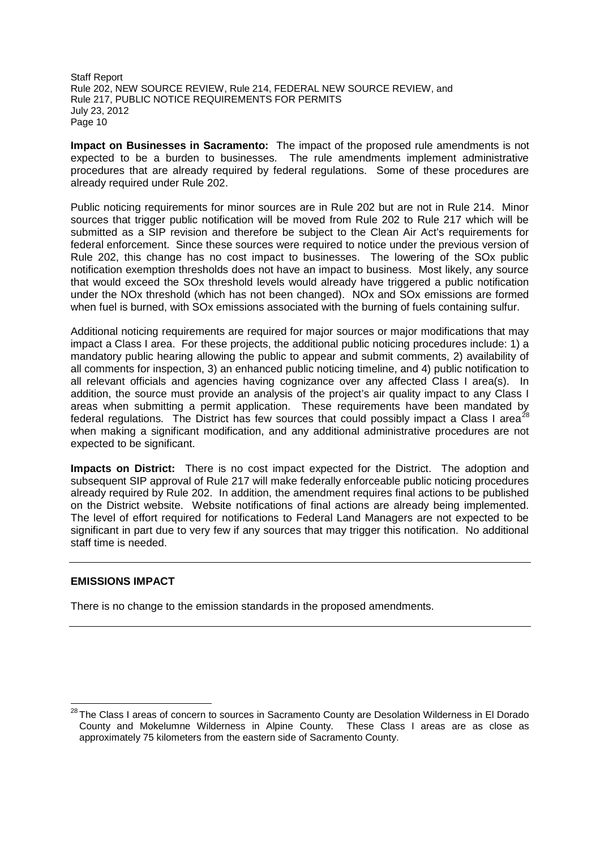**Impact on Businesses in Sacramento:** The impact of the proposed rule amendments is not expected to be a burden to businesses. The rule amendments implement administrative procedures that are already required by federal regulations. Some of these procedures are already required under Rule 202.

Public noticing requirements for minor sources are in Rule 202 but are not in Rule 214. Minor sources that trigger public notification will be moved from Rule 202 to Rule 217 which will be submitted as a SIP revision and therefore be subject to the Clean Air Act's requirements for federal enforcement. Since these sources were required to notice under the previous version of Rule 202, this change has no cost impact to businesses. The lowering of the SOx public notification exemption thresholds does not have an impact to business. Most likely, any source that would exceed the SOx threshold levels would already have triggered a public notification under the NOx threshold (which has not been changed). NOx and SOx emissions are formed when fuel is burned, with SO<sub>x</sub> emissions associated with the burning of fuels containing sulfur.

Additional noticing requirements are required for major sources or major modifications that may impact a Class I area. For these projects, the additional public noticing procedures include: 1) a mandatory public hearing allowing the public to appear and submit comments, 2) availability of all comments for inspection, 3) an enhanced public noticing timeline, and 4) public notification to all relevant officials and agencies having cognizance over any affected Class I area(s). In addition, the source must provide an analysis of the project's air quality impact to any Class I areas when submitting a permit application. These requirements have been mandated by federal regulations. The District has few sources that could possibly impact a Class I area<sup>28</sup> when making a significant modification, and any additional administrative procedures are not expected to be significant.

**Impacts on District:** There is no cost impact expected for the District. The adoption and subsequent SIP approval of Rule 217 will make federally enforceable public noticing procedures already required by Rule 202. In addition, the amendment requires final actions to be published on the District website. Website notifications of final actions are already being implemented. The level of effort required for notifications to Federal Land Managers are not expected to be significant in part due to very few if any sources that may trigger this notification. No additional staff time is needed.

## **EMISSIONS IMPACT**

There is no change to the emission standards in the proposed amendments.

<sup>&</sup>lt;sup>28</sup> The Class I areas of concern to sources in Sacramento County are Desolation Wilderness in El Dorado County and Mokelumne Wilderness in Alpine County. These Class I areas are as close as approximately 75 kilometers from the eastern side of Sacramento County.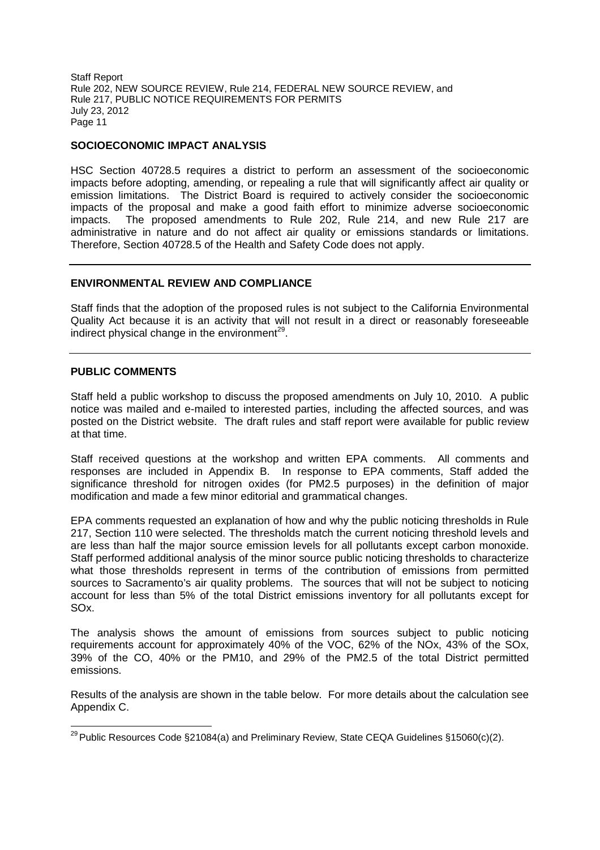## **SOCIOECONOMIC IMPACT ANALYSIS**

HSC Section 40728.5 requires a district to perform an assessment of the socioeconomic impacts before adopting, amending, or repealing a rule that will significantly affect air quality or emission limitations. The District Board is required to actively consider the socioeconomic impacts of the proposal and make a good faith effort to minimize adverse socioeconomic impacts. The proposed amendments to Rule 202, Rule 214, and new Rule 217 are administrative in nature and do not affect air quality or emissions standards or limitations. Therefore, Section 40728.5 of the Health and Safety Code does not apply.

## **ENVIRONMENTAL REVIEW AND COMPLIANCE**

Staff finds that the adoption of the proposed rules is not subject to the California Environmental Quality Act because it is an activity that will not result in a direct or reasonably foreseeable indirect physical change in the environment<sup>29</sup>.

## **PUBLIC COMMENTS**

Staff held a public workshop to discuss the proposed amendments on July 10, 2010. A public notice was mailed and e-mailed to interested parties, including the affected sources, and was posted on the District website. The draft rules and staff report were available for public review at that time.

Staff received questions at the workshop and written EPA comments. All comments and responses are included in Appendix B. In response to EPA comments, Staff added the significance threshold for nitrogen oxides (for PM2.5 purposes) in the definition of major modification and made a few minor editorial and grammatical changes.

EPA comments requested an explanation of how and why the public noticing thresholds in Rule 217, Section 110 were selected. The thresholds match the current noticing threshold levels and are less than half the major source emission levels for all pollutants except carbon monoxide. Staff performed additional analysis of the minor source public noticing thresholds to characterize what those thresholds represent in terms of the contribution of emissions from permitted sources to Sacramento's air quality problems. The sources that will not be subject to noticing account for less than 5% of the total District emissions inventory for all pollutants except for SOx.

The analysis shows the amount of emissions from sources subject to public noticing requirements account for approximately 40% of the VOC, 62% of the NOx, 43% of the SOx, 39% of the CO, 40% or the PM10, and 29% of the PM2.5 of the total District permitted emissions.

Results of the analysis are shown in the table below. For more details about the calculation see Appendix C.

<sup>&</sup>lt;sup>29</sup> Public Resources Code §21084(a) and Preliminary Review, State CEQA Guidelines §15060(c)(2).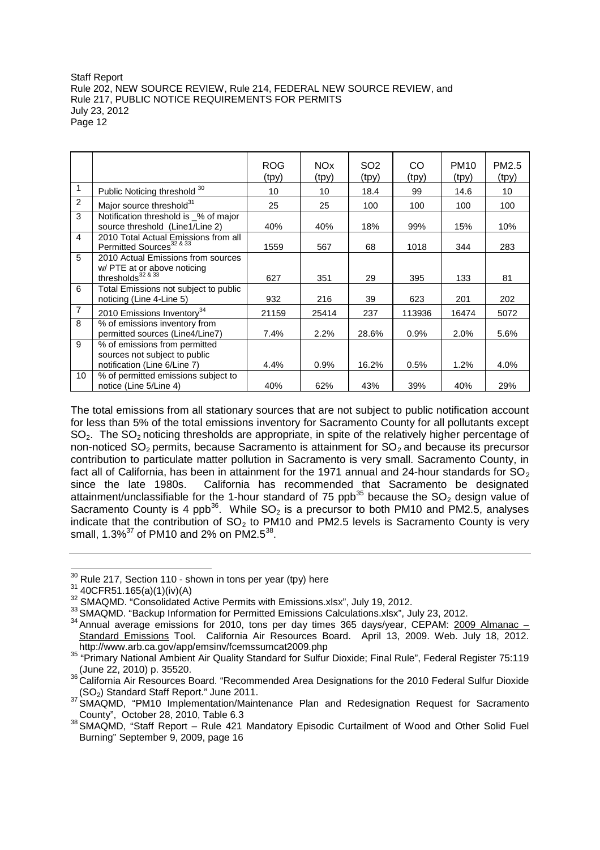|                |                                                                                                      | <b>ROG</b><br>(tpy) | NOx.<br>(tpy) | SO <sub>2</sub><br>(tpy) | CO<br>(tpy) | PM <sub>10</sub><br>(tpy) | PM <sub>2.5</sub><br>(tpy) |
|----------------|------------------------------------------------------------------------------------------------------|---------------------|---------------|--------------------------|-------------|---------------------------|----------------------------|
| 1              | Public Noticing threshold 30                                                                         | 10                  | 10            | 18.4                     | 99          | 14.6                      | 10                         |
| 2              | Major source threshold <sup>31</sup>                                                                 | 25                  | 25            | 100                      | 100         | 100                       | 100                        |
| 3              | Notification threshold is _% of major<br>source threshold (Line1/Line 2)                             | 40%                 | 40%           | 18%                      | 99%         | 15%                       | 10%                        |
| $\overline{4}$ | 2010 Total Actual Emissions from all<br>Permitted Sources <sup>32 &amp; 33</sup>                     | 1559                | 567           | 68                       | 1018        | 344                       | 283                        |
| 5              | 2010 Actual Emissions from sources<br>w/ PTE at or above noticing<br>thresholds <sup>32&amp;33</sup> | 627                 | 351           | 29                       | 395         | 133                       | 81                         |
| 6              | Total Emissions not subject to public<br>noticing (Line 4-Line 5)                                    | 932                 | 216           | 39                       | 623         | 201                       | 202                        |
| $\overline{7}$ | 2010 Emissions Inventory <sup>34</sup>                                                               | 21159               | 25414         | 237                      | 113936      | 16474                     | 5072                       |
| 8              | % of emissions inventory from<br>permitted sources (Line4/Line7)                                     | 7.4%                | 2.2%          | 28.6%                    | 0.9%        | 2.0%                      | 5.6%                       |
| 9              | % of emissions from permitted<br>sources not subject to public<br>notification (Line 6/Line 7)       | 4.4%                | 0.9%          | 16.2%                    | 0.5%        | 1.2%                      | 4.0%                       |
| 10             | % of permitted emissions subject to<br>notice (Line 5/Line 4)                                        | 40%                 | 62%           | 43%                      | 39%         | 40%                       | 29%                        |

The total emissions from all stationary sources that are not subject to public notification account for less than 5% of the total emissions inventory for Sacramento County for all pollutants except  $SO<sub>2</sub>$ . The  $SO<sub>2</sub>$  noticing thresholds are appropriate, in spite of the relatively higher percentage of non-noticed  $SO<sub>2</sub>$  permits, because Sacramento is attainment for  $SO<sub>2</sub>$  and because its precursor contribution to particulate matter pollution in Sacramento is very small. Sacramento County, in fact all of California, has been in attainment for the 1971 annual and 24-hour standards for  $SO_2$ since the late 1980s. California has recommended that Sacramento be designated attainment/unclassifiable for the 1-hour standard of 75 ppb<sup>35</sup> because the  $SO<sub>2</sub>$  design value of Sacramento County is 4 ppb<sup>36</sup>. While  $SO_2$  is a precursor to both PM10 and PM2.5, analyses indicate that the contribution of  $SO<sub>2</sub>$  to PM10 and PM2.5 levels is Sacramento County is very small, 1.3%<sup>37</sup> of PM10 and 2% on PM2.5<sup>38</sup>.

<sup>&</sup>lt;sup>30</sup> Rule 217, Section 110 - shown in tons per year (tpy) here

 $31$  40CFR51.165(a)(1)(iv)(A)

<sup>&</sup>lt;sup>32</sup> SMAQMD. "Consolidated Active Permits with Emissions.xlsx", July 19, 2012.

<sup>&</sup>lt;sup>33</sup> SMAQMD. "Backup Information for Permitted Emissions Calculations.xlsx", July 23, 2012.

 $34$  Annual average emissions for 2010, tons per day times 365 days/year, CEPAM:  $2009$  Almanac – Standard Emissions Tool. California Air Resources Board. April 13, 2009. Web. July 18, 2012. http://www.arb.ca.gov/app/emsinv/fcemssumcat2009.php

<sup>35</sup> "Primary National Ambient Air Quality Standard for Sulfur Dioxide; Final Rule", Federal Register 75:119 (June 22, 2010) p. 35520.

<sup>36</sup> California Air Resources Board. "Recommended Area Designations for the 2010 Federal Sulfur Dioxide (SO2) Standard Staff Report." June 2011.

<sup>37</sup> SMAQMD, "PM10 Implementation/Maintenance Plan and Redesignation Request for Sacramento County", October 28, 2010, Table 6.3

<sup>38</sup> SMAQMD, "Staff Report – Rule 421 Mandatory Episodic Curtailment of Wood and Other Solid Fuel Burning" September 9, 2009, page 16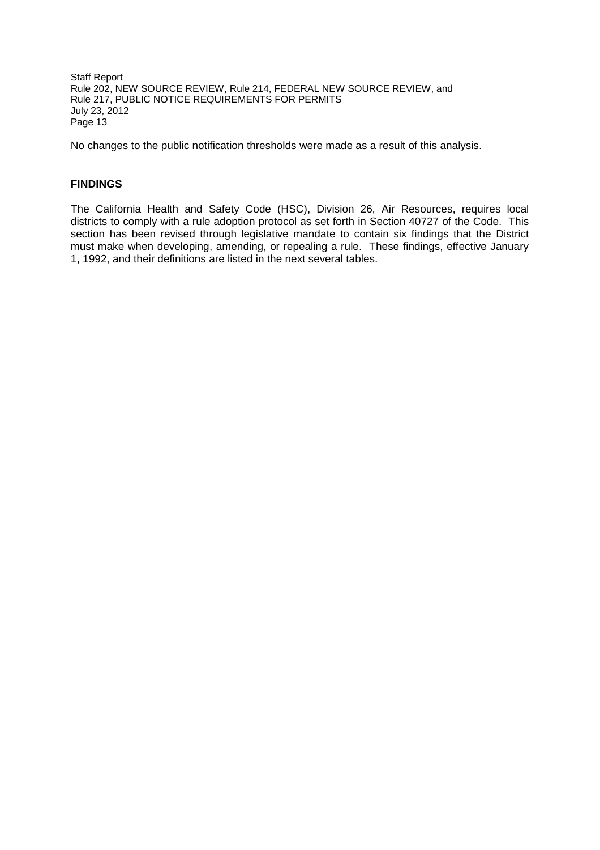No changes to the public notification thresholds were made as a result of this analysis.

# **FINDINGS**

The California Health and Safety Code (HSC), Division 26, Air Resources, requires local districts to comply with a rule adoption protocol as set forth in Section 40727 of the Code. This section has been revised through legislative mandate to contain six findings that the District must make when developing, amending, or repealing a rule. These findings, effective January 1, 1992, and their definitions are listed in the next several tables.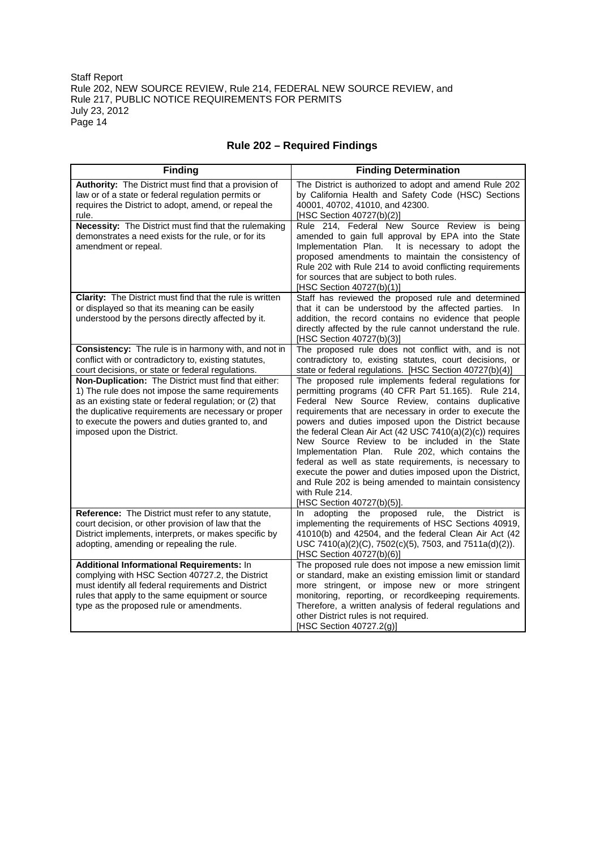| <b>Finding</b>                                                                                                                                                                                                                                                                                                 | <b>Finding Determination</b>                                                                                                                                                                                                                                                                                                                                                                                                                                                                                                                                                                                                                                                         |
|----------------------------------------------------------------------------------------------------------------------------------------------------------------------------------------------------------------------------------------------------------------------------------------------------------------|--------------------------------------------------------------------------------------------------------------------------------------------------------------------------------------------------------------------------------------------------------------------------------------------------------------------------------------------------------------------------------------------------------------------------------------------------------------------------------------------------------------------------------------------------------------------------------------------------------------------------------------------------------------------------------------|
| Authority: The District must find that a provision of<br>law or of a state or federal regulation permits or<br>requires the District to adopt, amend, or repeal the<br>rule.                                                                                                                                   | The District is authorized to adopt and amend Rule 202<br>by California Health and Safety Code (HSC) Sections<br>40001, 40702, 41010, and 42300.<br>[HSC Section 40727(b)(2)]                                                                                                                                                                                                                                                                                                                                                                                                                                                                                                        |
| <b>Necessity:</b> The District must find that the rulemaking<br>demonstrates a need exists for the rule, or for its<br>amendment or repeal.                                                                                                                                                                    | Rule 214, Federal New Source Review is being<br>amended to gain full approval by EPA into the State<br>Implementation Plan. It is necessary to adopt the<br>proposed amendments to maintain the consistency of<br>Rule 202 with Rule 214 to avoid conflicting requirements<br>for sources that are subject to both rules.<br>[HSC Section 40727(b)(1)]                                                                                                                                                                                                                                                                                                                               |
| Clarity: The District must find that the rule is written<br>or displayed so that its meaning can be easily<br>understood by the persons directly affected by it.                                                                                                                                               | Staff has reviewed the proposed rule and determined<br>that it can be understood by the affected parties. In<br>addition, the record contains no evidence that people<br>directly affected by the rule cannot understand the rule.<br>[HSC Section 40727(b)(3)]                                                                                                                                                                                                                                                                                                                                                                                                                      |
| Consistency: The rule is in harmony with, and not in<br>conflict with or contradictory to, existing statutes,<br>court decisions, or state or federal regulations.                                                                                                                                             | The proposed rule does not conflict with, and is not<br>contradictory to, existing statutes, court decisions, or<br>state or federal regulations. [HSC Section 40727(b)(4)]                                                                                                                                                                                                                                                                                                                                                                                                                                                                                                          |
| Non-Duplication: The District must find that either:<br>1) The rule does not impose the same requirements<br>as an existing state or federal regulation; or (2) that<br>the duplicative requirements are necessary or proper<br>to execute the powers and duties granted to, and<br>imposed upon the District. | The proposed rule implements federal regulations for<br>permitting programs (40 CFR Part 51.165). Rule 214,<br>Federal New Source Review, contains duplicative<br>requirements that are necessary in order to execute the<br>powers and duties imposed upon the District because<br>the federal Clean Air Act (42 USC 7410(a)(2)(c)) requires<br>New Source Review to be included in the State<br>Implementation Plan.<br>Rule 202, which contains the<br>federal as well as state requirements, is necessary to<br>execute the power and duties imposed upon the District,<br>and Rule 202 is being amended to maintain consistency<br>with Rule 214.<br>[HSC Section 40727(b)(5)]. |
| Reference: The District must refer to any statute,<br>court decision, or other provision of law that the<br>District implements, interprets, or makes specific by<br>adopting, amending or repealing the rule.                                                                                                 | adopting the proposed rule, the District<br>In<br>is<br>implementing the requirements of HSC Sections 40919,<br>41010(b) and 42504, and the federal Clean Air Act (42<br>USC 7410(a)(2)(C), 7502(c)(5), 7503, and 7511a(d)(2)).<br>[HSC Section 40727(b)(6)]                                                                                                                                                                                                                                                                                                                                                                                                                         |
| Additional Informational Requirements: In<br>complying with HSC Section 40727.2, the District<br>must identify all federal requirements and District<br>rules that apply to the same equipment or source<br>type as the proposed rule or amendments.                                                           | The proposed rule does not impose a new emission limit<br>or standard, make an existing emission limit or standard<br>more stringent, or impose new or more stringent<br>monitoring, reporting, or recordkeeping requirements.<br>Therefore, a written analysis of federal regulations and<br>other District rules is not required.<br>[HSC Section 40727.2(g)]                                                                                                                                                                                                                                                                                                                      |

# **Rule 202 – Required Findings**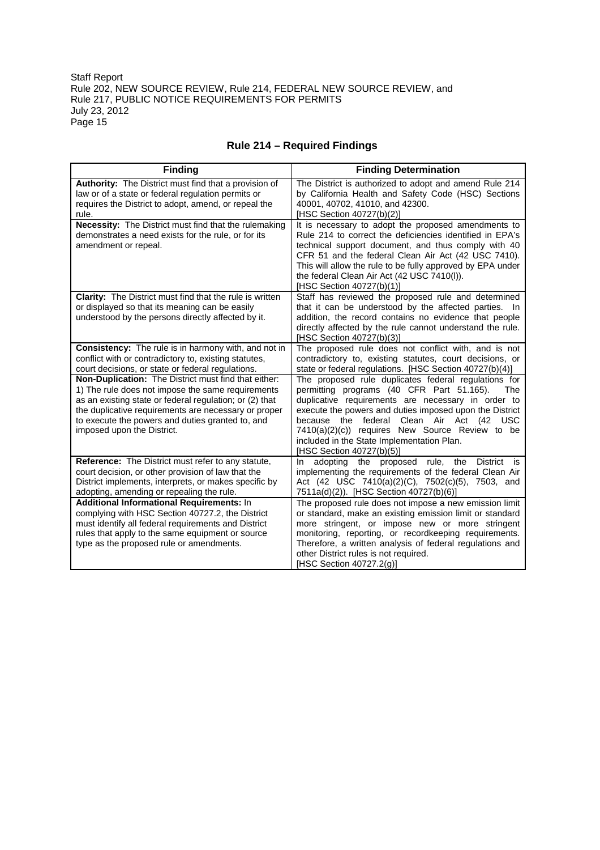| <b>Finding</b>                                                                                                                                                                                                                                                                                                                                                                                                                                                                       | <b>Finding Determination</b>                                                                                                                                                                                                                                                                                                                                                                                                                                                                                                                                                                  |
|--------------------------------------------------------------------------------------------------------------------------------------------------------------------------------------------------------------------------------------------------------------------------------------------------------------------------------------------------------------------------------------------------------------------------------------------------------------------------------------|-----------------------------------------------------------------------------------------------------------------------------------------------------------------------------------------------------------------------------------------------------------------------------------------------------------------------------------------------------------------------------------------------------------------------------------------------------------------------------------------------------------------------------------------------------------------------------------------------|
| <b>Authority:</b> The District must find that a provision of<br>law or of a state or federal regulation permits or<br>requires the District to adopt, amend, or repeal the<br>rule.                                                                                                                                                                                                                                                                                                  | The District is authorized to adopt and amend Rule 214<br>by California Health and Safety Code (HSC) Sections<br>40001, 40702, 41010, and 42300.<br>[HSC Section 40727(b)(2)]                                                                                                                                                                                                                                                                                                                                                                                                                 |
| Necessity: The District must find that the rulemaking<br>demonstrates a need exists for the rule, or for its<br>amendment or repeal.                                                                                                                                                                                                                                                                                                                                                 | It is necessary to adopt the proposed amendments to<br>Rule 214 to correct the deficiencies identified in EPA's<br>technical support document, and thus comply with 40<br>CFR 51 and the federal Clean Air Act (42 USC 7410).<br>This will allow the rule to be fully approved by EPA under<br>the federal Clean Air Act (42 USC 7410(I)).<br>[HSC Section 40727(b)(1)]                                                                                                                                                                                                                       |
| Clarity: The District must find that the rule is written<br>or displayed so that its meaning can be easily<br>understood by the persons directly affected by it.                                                                                                                                                                                                                                                                                                                     | Staff has reviewed the proposed rule and determined<br>that it can be understood by the affected parties.<br>addition, the record contains no evidence that people<br>directly affected by the rule cannot understand the rule.<br>[HSC Section 40727(b)(3)]                                                                                                                                                                                                                                                                                                                                  |
| Consistency: The rule is in harmony with, and not in<br>conflict with or contradictory to, existing statutes,<br>court decisions, or state or federal regulations.<br>Non-Duplication: The District must find that either:<br>1) The rule does not impose the same requirements<br>as an existing state or federal regulation; or (2) that<br>the duplicative requirements are necessary or proper<br>to execute the powers and duties granted to, and<br>imposed upon the District. | The proposed rule does not conflict with, and is not<br>contradictory to, existing statutes, court decisions, or<br>state or federal regulations. [HSC Section 40727(b)(4)]<br>The proposed rule duplicates federal regulations for<br>permitting programs (40 CFR Part 51.165).<br><b>The</b><br>duplicative requirements are necessary in order to<br>execute the powers and duties imposed upon the District<br>because the federal<br>Clean Air Act (42 USC<br>7410(a)(2)(c)) requires New Source Review to be<br>included in the State Implementation Plan.<br>[HSC Section 40727(b)(5)] |
| Reference: The District must refer to any statute,<br>court decision, or other provision of law that the<br>District implements, interprets, or makes specific by<br>adopting, amending or repealing the rule.                                                                                                                                                                                                                                                                       | In adopting the proposed rule, the District<br>is<br>implementing the requirements of the federal Clean Air<br>Act (42 USC 7410(a)(2)(C), 7502(c)(5), 7503, and<br>7511a(d)(2)). [HSC Section 40727(b)(6)]                                                                                                                                                                                                                                                                                                                                                                                    |
| Additional Informational Requirements: In<br>complying with HSC Section 40727.2, the District<br>must identify all federal requirements and District<br>rules that apply to the same equipment or source<br>type as the proposed rule or amendments.                                                                                                                                                                                                                                 | The proposed rule does not impose a new emission limit<br>or standard, make an existing emission limit or standard<br>more stringent, or impose new or more stringent<br>monitoring, reporting, or recordkeeping requirements.<br>Therefore, a written analysis of federal regulations and<br>other District rules is not required.<br>[HSC Section 40727.2(g)]                                                                                                                                                                                                                               |

# **Rule 214 – Required Findings**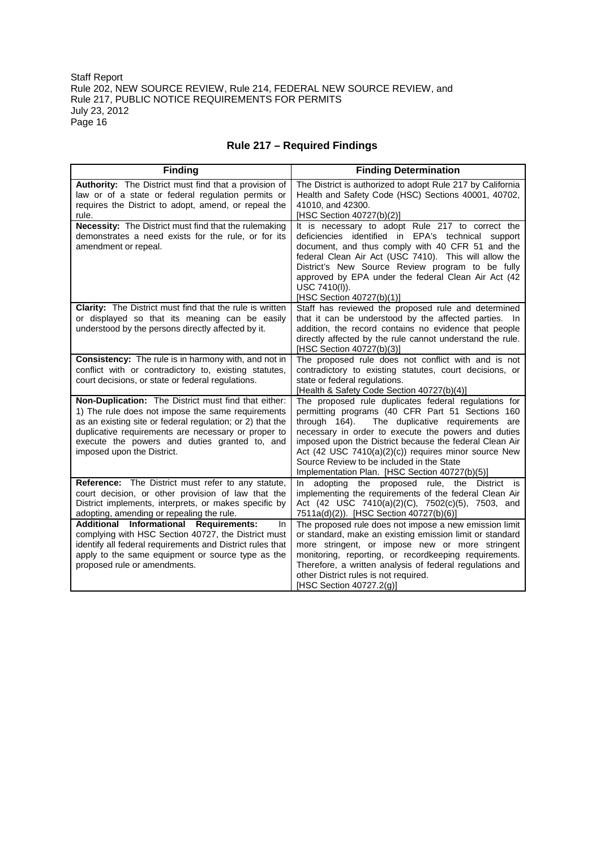| <b>Finding</b>                                                                                                                                                                                                                                                                                               | <b>Finding Determination</b>                                                                                                                                                                                                                                                                                                                                                                                                           |
|--------------------------------------------------------------------------------------------------------------------------------------------------------------------------------------------------------------------------------------------------------------------------------------------------------------|----------------------------------------------------------------------------------------------------------------------------------------------------------------------------------------------------------------------------------------------------------------------------------------------------------------------------------------------------------------------------------------------------------------------------------------|
| <b>Authority:</b> The District must find that a provision of<br>law or of a state or federal regulation permits or<br>requires the District to adopt, amend, or repeal the<br>rule.                                                                                                                          | The District is authorized to adopt Rule 217 by California<br>Health and Safety Code (HSC) Sections 40001, 40702,<br>41010, and 42300.<br>[HSC Section 40727(b)(2)]                                                                                                                                                                                                                                                                    |
| Necessity: The District must find that the rulemaking<br>demonstrates a need exists for the rule, or for its<br>amendment or repeal.                                                                                                                                                                         | It is necessary to adopt Rule 217 to correct the<br>deficiencies identified in EPA's technical support<br>document, and thus comply with 40 CFR 51 and the<br>federal Clean Air Act (USC 7410). This will allow the<br>District's New Source Review program to be fully<br>approved by EPA under the federal Clean Air Act (42<br>USC 7410(I)).<br>[HSC Section 40727(b)(1)]                                                           |
| <b>Clarity:</b> The District must find that the rule is written<br>or displayed so that its meaning can be easily<br>understood by the persons directly affected by it.                                                                                                                                      | Staff has reviewed the proposed rule and determined<br>that it can be understood by the affected parties. In<br>addition, the record contains no evidence that people<br>directly affected by the rule cannot understand the rule.<br>[HSC Section 40727(b)(3)]                                                                                                                                                                        |
| <b>Consistency:</b> The rule is in harmony with, and not in<br>conflict with or contradictory to, existing statutes,<br>court decisions, or state or federal regulations.                                                                                                                                    | The proposed rule does not conflict with and is not<br>contradictory to existing statutes, court decisions, or<br>state or federal regulations.<br>[Health & Safety Code Section 40727(b)(4)]                                                                                                                                                                                                                                          |
| Non-Duplication: The District must find that either:<br>1) The rule does not impose the same requirements<br>as an existing site or federal regulation; or 2) that the<br>duplicative requirements are necessary or proper to<br>execute the powers and duties granted to, and<br>imposed upon the District. | The proposed rule duplicates federal regulations for<br>permitting programs (40 CFR Part 51 Sections 160<br>through 164).<br>The duplicative requirements are<br>necessary in order to execute the powers and duties<br>imposed upon the District because the federal Clean Air<br>Act (42 USC 7410(a)(2)(c)) requires minor source New<br>Source Review to be included in the State<br>Implementation Plan. [HSC Section 40727(b)(5)] |
| Reference: The District must refer to any statute,<br>court decision, or other provision of law that the<br>District implements, interprets, or makes specific by<br>adopting, amending or repealing the rule.                                                                                               | adopting the proposed rule, the District is<br>In.<br>implementing the requirements of the federal Clean Air<br>Act (42 USC 7410(a)(2)(C), 7502(c)(5), 7503, and<br>7511a(d)(2)). [HSC Section 40727(b)(6)]                                                                                                                                                                                                                            |
| Additional Informational Requirements:<br>In.<br>complying with HSC Section 40727, the District must<br>identify all federal requirements and District rules that<br>apply to the same equipment or source type as the<br>proposed rule or amendments.                                                       | The proposed rule does not impose a new emission limit<br>or standard, make an existing emission limit or standard<br>more stringent, or impose new or more stringent<br>monitoring, reporting, or recordkeeping requirements.<br>Therefore, a written analysis of federal regulations and<br>other District rules is not required.<br>[HSC Section 40727.2(g)]                                                                        |

# **Rule 217 – Required Findings**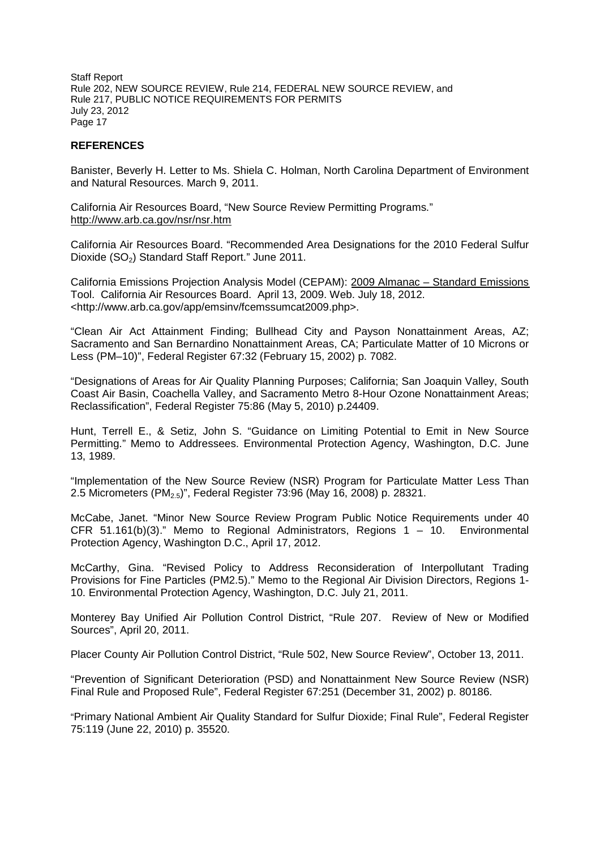## **REFERENCES**

Banister, Beverly H. Letter to Ms. Shiela C. Holman, North Carolina Department of Environment and Natural Resources. March 9, 2011.

California Air Resources Board, "New Source Review Permitting Programs." http://www.arb.ca.gov/nsr/nsr.htm

California Air Resources Board. "Recommended Area Designations for the 2010 Federal Sulfur Dioxide (SO<sub>2</sub>) Standard Staff Report." June 2011.

California Emissions Projection Analysis Model (CEPAM): 2009 Almanac – Standard Emissions Tool. California Air Resources Board. April 13, 2009. Web. July 18, 2012. <http://www.arb.ca.gov/app/emsinv/fcemssumcat2009.php>.

"Clean Air Act Attainment Finding; Bullhead City and Payson Nonattainment Areas, AZ; Sacramento and San Bernardino Nonattainment Areas, CA; Particulate Matter of 10 Microns or Less (PM–10)", Federal Register 67:32 (February 15, 2002) p. 7082.

"Designations of Areas for Air Quality Planning Purposes; California; San Joaquin Valley, South Coast Air Basin, Coachella Valley, and Sacramento Metro 8-Hour Ozone Nonattainment Areas; Reclassification", Federal Register 75:86 (May 5, 2010) p.24409.

Hunt, Terrell E., & Setiz, John S. "Guidance on Limiting Potential to Emit in New Source Permitting." Memo to Addressees. Environmental Protection Agency, Washington, D.C. June 13, 1989.

"Implementation of the New Source Review (NSR) Program for Particulate Matter Less Than 2.5 Micrometers (PM2.5)", Federal Register 73:96 (May 16, 2008) p. 28321.

McCabe, Janet. "Minor New Source Review Program Public Notice Requirements under 40 CFR 51.161(b)(3)." Memo to Regional Administrators, Regions 1 – 10. Environmental Protection Agency, Washington D.C., April 17, 2012.

McCarthy, Gina. "Revised Policy to Address Reconsideration of Interpollutant Trading Provisions for Fine Particles (PM2.5)." Memo to the Regional Air Division Directors, Regions 1- 10. Environmental Protection Agency, Washington, D.C. July 21, 2011.

Monterey Bay Unified Air Pollution Control District, "Rule 207. Review of New or Modified Sources", April 20, 2011.

Placer County Air Pollution Control District, "Rule 502, New Source Review", October 13, 2011.

"Prevention of Significant Deterioration (PSD) and Nonattainment New Source Review (NSR) Final Rule and Proposed Rule", Federal Register 67:251 (December 31, 2002) p. 80186.

"Primary National Ambient Air Quality Standard for Sulfur Dioxide; Final Rule", Federal Register 75:119 (June 22, 2010) p. 35520.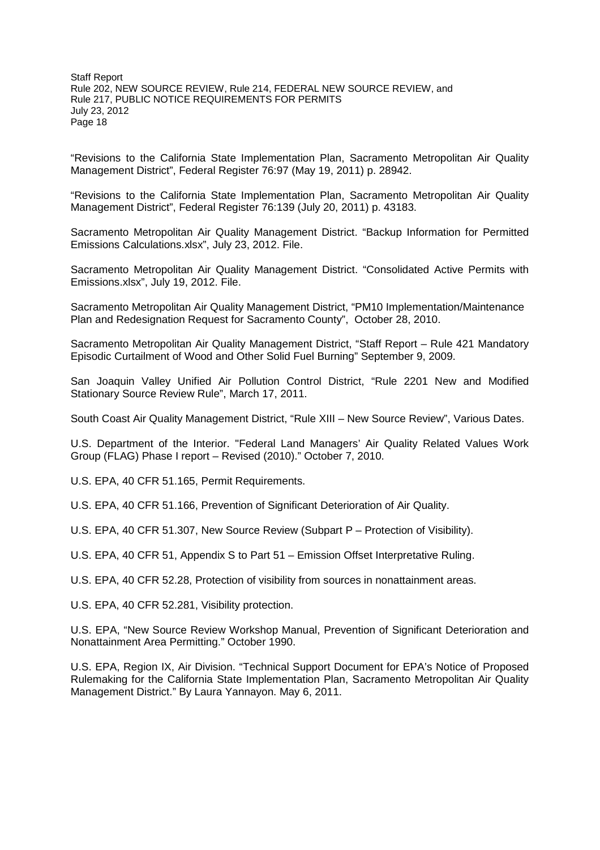"Revisions to the California State Implementation Plan, Sacramento Metropolitan Air Quality Management District", Federal Register 76:97 (May 19, 2011) p. 28942.

"Revisions to the California State Implementation Plan, Sacramento Metropolitan Air Quality Management District", Federal Register 76:139 (July 20, 2011) p. 43183.

Sacramento Metropolitan Air Quality Management District. "Backup Information for Permitted Emissions Calculations.xlsx", July 23, 2012. File.

Sacramento Metropolitan Air Quality Management District. "Consolidated Active Permits with Emissions.xlsx", July 19, 2012. File.

Sacramento Metropolitan Air Quality Management District, "PM10 Implementation/Maintenance Plan and Redesignation Request for Sacramento County", October 28, 2010.

Sacramento Metropolitan Air Quality Management District, "Staff Report – Rule 421 Mandatory Episodic Curtailment of Wood and Other Solid Fuel Burning" September 9, 2009.

San Joaquin Valley Unified Air Pollution Control District, "Rule 2201 New and Modified Stationary Source Review Rule", March 17, 2011.

South Coast Air Quality Management District, "Rule XIII – New Source Review", Various Dates.

U.S. Department of the Interior. "Federal Land Managers' Air Quality Related Values Work Group (FLAG) Phase I report – Revised (2010)." October 7, 2010.

U.S. EPA, 40 CFR 51.165, Permit Requirements.

U.S. EPA, 40 CFR 51.166, Prevention of Significant Deterioration of Air Quality.

U.S. EPA, 40 CFR 51.307, New Source Review (Subpart P – Protection of Visibility).

U.S. EPA, 40 CFR 51, Appendix S to Part 51 – Emission Offset Interpretative Ruling.

U.S. EPA, 40 CFR 52.28, Protection of visibility from sources in nonattainment areas.

U.S. EPA, 40 CFR 52.281, Visibility protection.

U.S. EPA, "New Source Review Workshop Manual, Prevention of Significant Deterioration and Nonattainment Area Permitting." October 1990.

U.S. EPA, Region IX, Air Division. "Technical Support Document for EPA's Notice of Proposed Rulemaking for the California State Implementation Plan, Sacramento Metropolitan Air Quality Management District." By Laura Yannayon. May 6, 2011.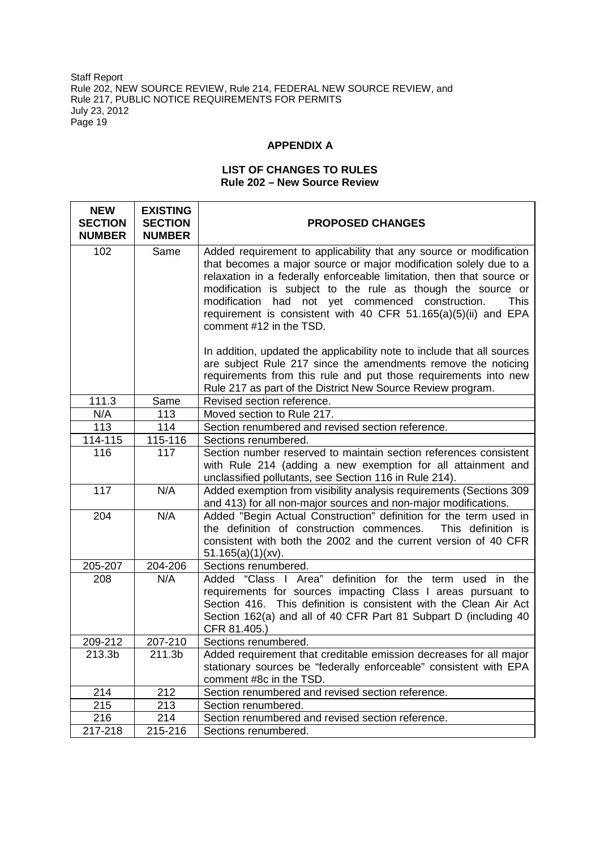# **APPENDIX A**

## **LIST OF CHANGES TO RULES Rule 202 – New Source Review**

| <b>NEW</b><br><b>SECTION</b><br><b>NUMBER</b> | <b>EXISTING</b><br><b>SECTION</b><br><b>NUMBER</b> | <b>PROPOSED CHANGES</b>                                                                                                                                                                                                                                                                                                                                                                                                                         |
|-----------------------------------------------|----------------------------------------------------|-------------------------------------------------------------------------------------------------------------------------------------------------------------------------------------------------------------------------------------------------------------------------------------------------------------------------------------------------------------------------------------------------------------------------------------------------|
| 102                                           | Same                                               | Added requirement to applicability that any source or modification<br>that becomes a major source or major modification solely due to a<br>relaxation in a federally enforceable limitation, then that source or<br>modification is subject to the rule as though the source or<br>modification had not yet commenced construction.<br><b>This</b><br>requirement is consistent with 40 CFR 51.165(a)(5)(ii) and EPA<br>comment #12 in the TSD. |
|                                               |                                                    | In addition, updated the applicability note to include that all sources<br>are subject Rule 217 since the amendments remove the noticing<br>requirements from this rule and put those requirements into new<br>Rule 217 as part of the District New Source Review program.                                                                                                                                                                      |
| 111.3                                         | Same                                               | Revised section reference.                                                                                                                                                                                                                                                                                                                                                                                                                      |
| N/A                                           | 113                                                | Moved section to Rule 217.                                                                                                                                                                                                                                                                                                                                                                                                                      |
| 113                                           | 114                                                | Section renumbered and revised section reference.                                                                                                                                                                                                                                                                                                                                                                                               |
| 114-115                                       | 115-116                                            | Sections renumbered.                                                                                                                                                                                                                                                                                                                                                                                                                            |
| 116                                           | 117                                                | Section number reserved to maintain section references consistent<br>with Rule 214 (adding a new exemption for all attainment and<br>unclassified pollutants, see Section 116 in Rule 214).                                                                                                                                                                                                                                                     |
| 117                                           | N/A                                                | Added exemption from visibility analysis requirements (Sections 309<br>and 413) for all non-major sources and non-major modifications.                                                                                                                                                                                                                                                                                                          |
| 204                                           | N/A                                                | Added "Begin Actual Construction" definition for the term used in<br>the definition of construction commences.<br>This definition is<br>consistent with both the 2002 and the current version of 40 CFR<br>$51.165(a)(1)(xv)$ .                                                                                                                                                                                                                 |
| 205-207                                       | 204-206                                            | Sections renumbered.                                                                                                                                                                                                                                                                                                                                                                                                                            |
| 208                                           | N/A                                                | Added "Class I Area" definition for the term used in the<br>requirements for sources impacting Class I areas pursuant to<br>Section 416. This definition is consistent with the Clean Air Act<br>Section 162(a) and all of 40 CFR Part 81 Subpart D (including 40<br>CFR 81.405.)                                                                                                                                                               |
| 209-212                                       | 207-210                                            | Sections renumbered.                                                                                                                                                                                                                                                                                                                                                                                                                            |
| 213.3b                                        | 211.3b                                             | Added requirement that creditable emission decreases for all major<br>stationary sources be "federally enforceable" consistent with EPA<br>comment #8c in the TSD.                                                                                                                                                                                                                                                                              |
| 214                                           | 212                                                | Section renumbered and revised section reference.                                                                                                                                                                                                                                                                                                                                                                                               |
| 215                                           | 213                                                | Section renumbered.                                                                                                                                                                                                                                                                                                                                                                                                                             |
| 216                                           | 214                                                | Section renumbered and revised section reference.                                                                                                                                                                                                                                                                                                                                                                                               |
| 217-218                                       | 215-216                                            | Sections renumbered.                                                                                                                                                                                                                                                                                                                                                                                                                            |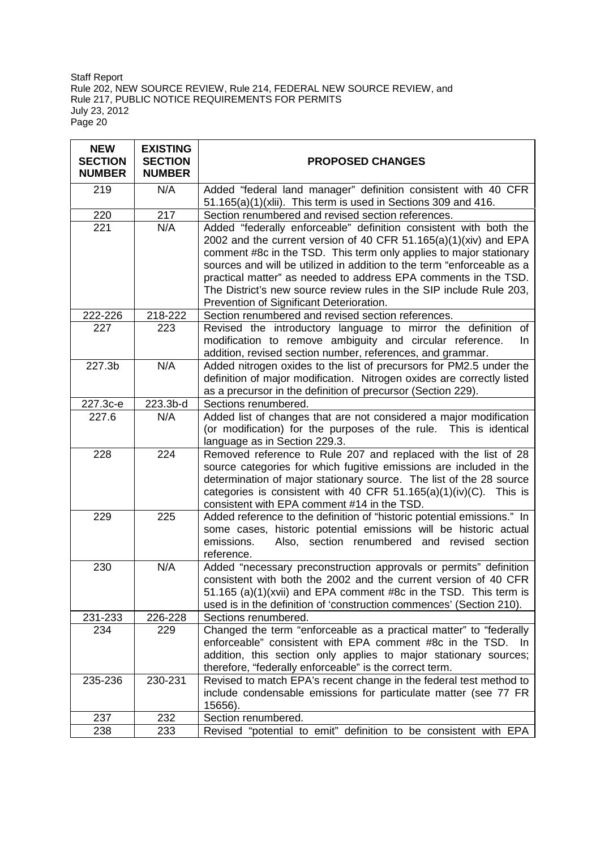| <b>NEW</b><br><b>SECTION</b><br><b>NUMBER</b> | <b>EXISTING</b><br><b>SECTION</b><br><b>NUMBER</b> | <b>PROPOSED CHANGES</b>                                                                                                                                                                                                                                                                                                                                                                                                                                                     |
|-----------------------------------------------|----------------------------------------------------|-----------------------------------------------------------------------------------------------------------------------------------------------------------------------------------------------------------------------------------------------------------------------------------------------------------------------------------------------------------------------------------------------------------------------------------------------------------------------------|
| 219                                           | N/A                                                | Added "federal land manager" definition consistent with 40 CFR<br>51.165(a)(1)(xlii). This term is used in Sections 309 and 416.                                                                                                                                                                                                                                                                                                                                            |
| 220                                           | 217                                                | Section renumbered and revised section references.                                                                                                                                                                                                                                                                                                                                                                                                                          |
| 221                                           | N/A                                                | Added "federally enforceable" definition consistent with both the<br>2002 and the current version of 40 CFR 51.165(a)(1)(xiv) and EPA<br>comment #8c in the TSD. This term only applies to major stationary<br>sources and will be utilized in addition to the term "enforceable as a<br>practical matter" as needed to address EPA comments in the TSD.<br>The District's new source review rules in the SIP include Rule 203,<br>Prevention of Significant Deterioration. |
| 222-226                                       | 218-222                                            | Section renumbered and revised section references.                                                                                                                                                                                                                                                                                                                                                                                                                          |
| 227                                           | 223                                                | Revised the introductory language to mirror the definition of<br>modification to remove ambiguity and circular reference.<br>In.<br>addition, revised section number, references, and grammar.                                                                                                                                                                                                                                                                              |
| 227.3 <sub>b</sub>                            | N/A                                                | Added nitrogen oxides to the list of precursors for PM2.5 under the<br>definition of major modification. Nitrogen oxides are correctly listed<br>as a precursor in the definition of precursor (Section 229).                                                                                                                                                                                                                                                               |
| 227.3с-е                                      | 223.3b-d                                           | Sections renumbered.                                                                                                                                                                                                                                                                                                                                                                                                                                                        |
| 227.6                                         | N/A                                                | Added list of changes that are not considered a major modification<br>(or modification) for the purposes of the rule. This is identical<br>language as in Section 229.3.                                                                                                                                                                                                                                                                                                    |
| 228                                           | 224                                                | Removed reference to Rule 207 and replaced with the list of 28<br>source categories for which fugitive emissions are included in the<br>determination of major stationary source. The list of the 28 source<br>categories is consistent with 40 CFR 51.165(a)(1)(iv)(C). This is<br>consistent with EPA comment #14 in the TSD.                                                                                                                                             |
| 229                                           | 225                                                | Added reference to the definition of "historic potential emissions." In<br>some cases, historic potential emissions will be historic actual<br>emissions.<br>Also, section renumbered and revised section<br>reference.                                                                                                                                                                                                                                                     |
| 230                                           | N/A                                                | Added "necessary preconstruction approvals or permits" definition<br>consistent with both the 2002 and the current version of 40 CFR<br>51.165 (a)(1)(xvii) and EPA comment #8c in the TSD. This term is<br>used is in the definition of 'construction commences' (Section 210).                                                                                                                                                                                            |
| 231-233                                       | 226-228                                            | Sections renumbered.                                                                                                                                                                                                                                                                                                                                                                                                                                                        |
| 234                                           | 229                                                | Changed the term "enforceable as a practical matter" to "federally<br>enforceable" consistent with EPA comment #8c in the TSD. In<br>addition, this section only applies to major stationary sources;<br>therefore, "federally enforceable" is the correct term.                                                                                                                                                                                                            |
| 235-236                                       | 230-231                                            | Revised to match EPA's recent change in the federal test method to<br>include condensable emissions for particulate matter (see 77 FR<br>15656).                                                                                                                                                                                                                                                                                                                            |
| 237                                           | 232                                                | Section renumbered.                                                                                                                                                                                                                                                                                                                                                                                                                                                         |
| 238                                           | 233                                                | Revised "potential to emit" definition to be consistent with EPA                                                                                                                                                                                                                                                                                                                                                                                                            |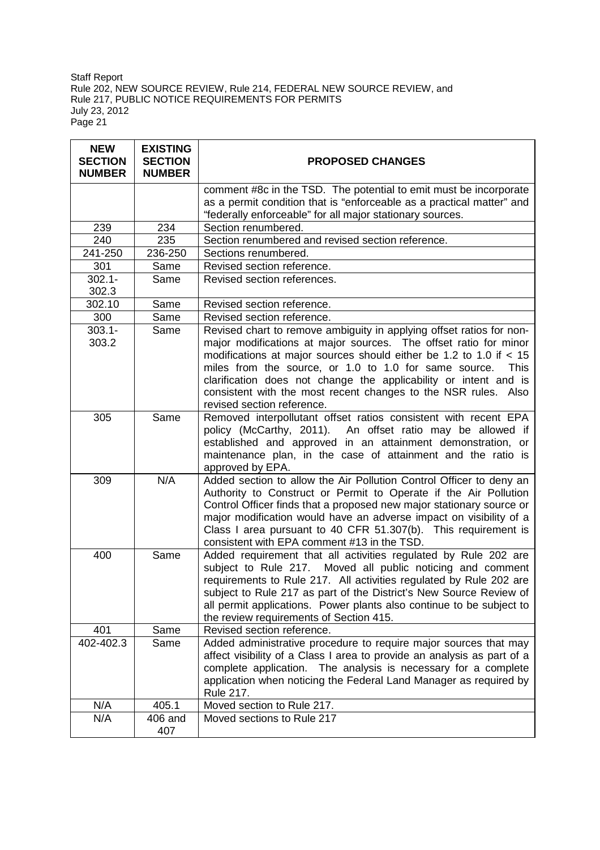| <b>NEW</b><br><b>SECTION</b><br><b>NUMBER</b> | <b>EXISTING</b><br><b>SECTION</b><br><b>NUMBER</b> | <b>PROPOSED CHANGES</b>                                                                                                                                                                                                                                                                                                                                                                                                                                      |
|-----------------------------------------------|----------------------------------------------------|--------------------------------------------------------------------------------------------------------------------------------------------------------------------------------------------------------------------------------------------------------------------------------------------------------------------------------------------------------------------------------------------------------------------------------------------------------------|
|                                               |                                                    | comment #8c in the TSD. The potential to emit must be incorporate                                                                                                                                                                                                                                                                                                                                                                                            |
|                                               |                                                    | as a permit condition that is "enforceable as a practical matter" and                                                                                                                                                                                                                                                                                                                                                                                        |
|                                               |                                                    | "federally enforceable" for all major stationary sources.                                                                                                                                                                                                                                                                                                                                                                                                    |
| 239                                           | 234                                                | Section renumbered.                                                                                                                                                                                                                                                                                                                                                                                                                                          |
| 240                                           | 235                                                | Section renumbered and revised section reference.                                                                                                                                                                                                                                                                                                                                                                                                            |
| 241-250                                       | 236-250                                            | Sections renumbered.                                                                                                                                                                                                                                                                                                                                                                                                                                         |
| 301                                           | Same                                               | Revised section reference.                                                                                                                                                                                                                                                                                                                                                                                                                                   |
| $302.1 -$<br>302.3                            | Same                                               | Revised section references.                                                                                                                                                                                                                                                                                                                                                                                                                                  |
| 302.10                                        | Same                                               | Revised section reference.                                                                                                                                                                                                                                                                                                                                                                                                                                   |
| 300                                           | Same                                               | Revised section reference.                                                                                                                                                                                                                                                                                                                                                                                                                                   |
| $303.1 -$<br>303.2                            | Same                                               | Revised chart to remove ambiguity in applying offset ratios for non-<br>major modifications at major sources. The offset ratio for minor<br>modifications at major sources should either be 1.2 to 1.0 if $<$ 15<br>miles from the source, or 1.0 to 1.0 for same source.<br><b>This</b><br>clarification does not change the applicability or intent and is<br>consistent with the most recent changes to the NSR rules. Also<br>revised section reference. |
| 305                                           | Same                                               | Removed interpollutant offset ratios consistent with recent EPA<br>policy (McCarthy, 2011). An offset ratio may be allowed if<br>established and approved in an attainment demonstration, or<br>maintenance plan, in the case of attainment and the ratio is<br>approved by EPA.                                                                                                                                                                             |
| 309                                           | N/A                                                | Added section to allow the Air Pollution Control Officer to deny an<br>Authority to Construct or Permit to Operate if the Air Pollution<br>Control Officer finds that a proposed new major stationary source or<br>major modification would have an adverse impact on visibility of a<br>Class I area pursuant to 40 CFR 51.307(b). This requirement is<br>consistent with EPA comment #13 in the TSD.                                                       |
| 400                                           | Same                                               | Added requirement that all activities regulated by Rule 202 are<br>subject to Rule 217. Moved all public noticing and comment<br>requirements to Rule 217. All activities regulated by Rule 202 are<br>subject to Rule 217 as part of the District's New Source Review of<br>all permit applications. Power plants also continue to be subject to<br>the review requirements of Section 415.                                                                 |
| 401                                           | Same                                               | Revised section reference.                                                                                                                                                                                                                                                                                                                                                                                                                                   |
| 402-402.3                                     | Same                                               | Added administrative procedure to require major sources that may<br>affect visibility of a Class I area to provide an analysis as part of a<br>complete application. The analysis is necessary for a complete<br>application when noticing the Federal Land Manager as required by<br>Rule 217.                                                                                                                                                              |
| N/A                                           | 405.1                                              | Moved section to Rule 217.                                                                                                                                                                                                                                                                                                                                                                                                                                   |
| N/A                                           | 406 and                                            | Moved sections to Rule 217                                                                                                                                                                                                                                                                                                                                                                                                                                   |
|                                               | 407                                                |                                                                                                                                                                                                                                                                                                                                                                                                                                                              |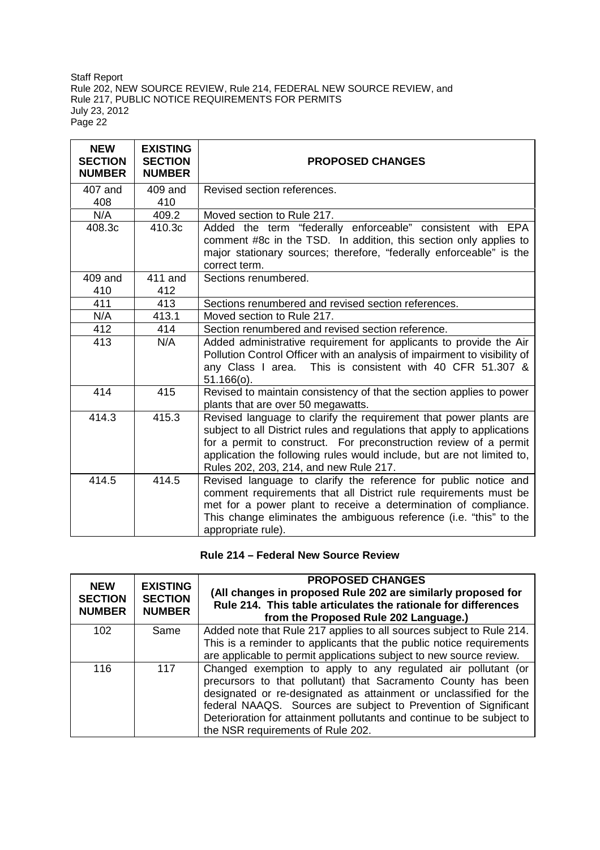| <b>NEW</b><br><b>SECTION</b><br><b>NUMBER</b> | <b>EXISTING</b><br><b>SECTION</b><br><b>NUMBER</b> | <b>PROPOSED CHANGES</b>                                                                                                                                                                                                                                                                                                                |
|-----------------------------------------------|----------------------------------------------------|----------------------------------------------------------------------------------------------------------------------------------------------------------------------------------------------------------------------------------------------------------------------------------------------------------------------------------------|
| 407 and                                       | 409 and                                            | Revised section references.                                                                                                                                                                                                                                                                                                            |
| 408                                           | 410                                                |                                                                                                                                                                                                                                                                                                                                        |
| N/A                                           | 409.2                                              | Moved section to Rule 217.                                                                                                                                                                                                                                                                                                             |
| 408.3c                                        | 410.3c                                             | Added the term "federally enforceable" consistent with EPA<br>comment #8c in the TSD. In addition, this section only applies to<br>major stationary sources; therefore, "federally enforceable" is the<br>correct term.                                                                                                                |
| 409 and<br>410                                | 411 and<br>412                                     | Sections renumbered.                                                                                                                                                                                                                                                                                                                   |
| 411                                           | 413                                                | Sections renumbered and revised section references.                                                                                                                                                                                                                                                                                    |
| N/A                                           | 413.1                                              | Moved section to Rule 217.                                                                                                                                                                                                                                                                                                             |
| 412                                           | 414                                                | Section renumbered and revised section reference.                                                                                                                                                                                                                                                                                      |
| 413                                           | N/A                                                | Added administrative requirement for applicants to provide the Air<br>Pollution Control Officer with an analysis of impairment to visibility of<br>any Class I area. This is consistent with 40 CFR 51.307 &<br>$51.166(o)$ .                                                                                                          |
| 414                                           | 415                                                | Revised to maintain consistency of that the section applies to power<br>plants that are over 50 megawatts.                                                                                                                                                                                                                             |
| 414.3                                         | 415.3                                              | Revised language to clarify the requirement that power plants are<br>subject to all District rules and regulations that apply to applications<br>for a permit to construct. For preconstruction review of a permit<br>application the following rules would include, but are not limited to,<br>Rules 202, 203, 214, and new Rule 217. |
| 414.5                                         | 414.5                                              | Revised language to clarify the reference for public notice and<br>comment requirements that all District rule requirements must be<br>met for a power plant to receive a determination of compliance.<br>This change eliminates the ambiguous reference (i.e. "this" to the<br>appropriate rule).                                     |

**Rule 214 – Federal New Source Review**

| <b>NEW</b><br><b>SECTION</b><br><b>NUMBER</b> | <b>EXISTING</b><br><b>SECTION</b><br><b>NUMBER</b> | <b>PROPOSED CHANGES</b><br>(All changes in proposed Rule 202 are similarly proposed for<br>Rule 214. This table articulates the rationale for differences<br>from the Proposed Rule 202 Language.)                                                                                                                                                                                   |
|-----------------------------------------------|----------------------------------------------------|--------------------------------------------------------------------------------------------------------------------------------------------------------------------------------------------------------------------------------------------------------------------------------------------------------------------------------------------------------------------------------------|
| 102                                           | Same                                               | Added note that Rule 217 applies to all sources subject to Rule 214.<br>This is a reminder to applicants that the public notice requirements<br>are applicable to permit applications subject to new source review.                                                                                                                                                                  |
| 116                                           | 117                                                | Changed exemption to apply to any regulated air pollutant (or<br>precursors to that pollutant) that Sacramento County has been<br>designated or re-designated as attainment or unclassified for the<br>federal NAAQS. Sources are subject to Prevention of Significant<br>Deterioration for attainment pollutants and continue to be subject to<br>the NSR requirements of Rule 202. |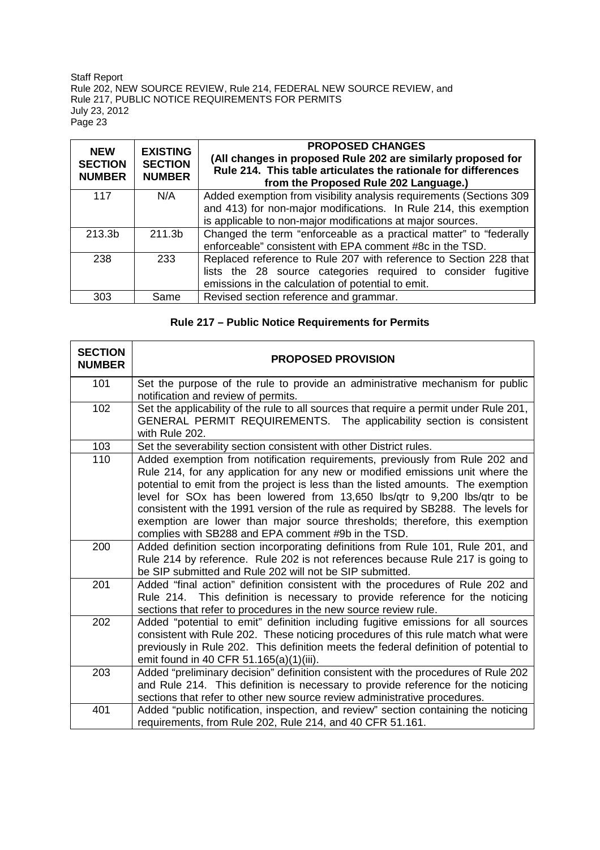| <b>NEW</b><br><b>SECTION</b><br><b>NUMBER</b> | <b>EXISTING</b><br><b>SECTION</b><br><b>NUMBER</b> | <b>PROPOSED CHANGES</b><br>(All changes in proposed Rule 202 are similarly proposed for<br>Rule 214. This table articulates the rationale for differences<br>from the Proposed Rule 202 Language.) |
|-----------------------------------------------|----------------------------------------------------|----------------------------------------------------------------------------------------------------------------------------------------------------------------------------------------------------|
| 117                                           | N/A                                                | Added exemption from visibility analysis requirements (Sections 309                                                                                                                                |
|                                               |                                                    | and 413) for non-major modifications. In Rule 214, this exemption                                                                                                                                  |
|                                               |                                                    | is applicable to non-major modifications at major sources.                                                                                                                                         |
| 213.3b                                        | 211.3b                                             | Changed the term "enforceable as a practical matter" to "federally                                                                                                                                 |
|                                               |                                                    | enforceable" consistent with EPA comment #8c in the TSD.                                                                                                                                           |
| 238                                           | 233                                                | Replaced reference to Rule 207 with reference to Section 228 that                                                                                                                                  |
|                                               |                                                    | lists the 28 source categories required to consider fugitive                                                                                                                                       |
|                                               |                                                    | emissions in the calculation of potential to emit.                                                                                                                                                 |
| 303                                           | Same                                               | Revised section reference and grammar.                                                                                                                                                             |

# **Rule 217 – Public Notice Requirements for Permits**

| <b>SECTION</b><br><b>NUMBER</b> | <b>PROPOSED PROVISION</b>                                                                                                                                                                                                                                                                                                                                                                                                                                                                                                                                   |
|---------------------------------|-------------------------------------------------------------------------------------------------------------------------------------------------------------------------------------------------------------------------------------------------------------------------------------------------------------------------------------------------------------------------------------------------------------------------------------------------------------------------------------------------------------------------------------------------------------|
| 101                             | Set the purpose of the rule to provide an administrative mechanism for public<br>notification and review of permits.                                                                                                                                                                                                                                                                                                                                                                                                                                        |
| 102                             | Set the applicability of the rule to all sources that require a permit under Rule 201,<br>GENERAL PERMIT REQUIREMENTS. The applicability section is consistent<br>with Rule 202.                                                                                                                                                                                                                                                                                                                                                                            |
| 103                             | Set the severability section consistent with other District rules.                                                                                                                                                                                                                                                                                                                                                                                                                                                                                          |
| 110                             | Added exemption from notification requirements, previously from Rule 202 and<br>Rule 214, for any application for any new or modified emissions unit where the<br>potential to emit from the project is less than the listed amounts. The exemption<br>level for SOx has been lowered from 13,650 lbs/qtr to 9,200 lbs/qtr to be<br>consistent with the 1991 version of the rule as required by SB288. The levels for<br>exemption are lower than major source thresholds; therefore, this exemption<br>complies with SB288 and EPA comment #9b in the TSD. |
| 200                             | Added definition section incorporating definitions from Rule 101, Rule 201, and<br>Rule 214 by reference. Rule 202 is not references because Rule 217 is going to<br>be SIP submitted and Rule 202 will not be SIP submitted.                                                                                                                                                                                                                                                                                                                               |
| 201                             | Added "final action" definition consistent with the procedures of Rule 202 and<br>Rule 214. This definition is necessary to provide reference for the noticing<br>sections that refer to procedures in the new source review rule.                                                                                                                                                                                                                                                                                                                          |
| 202                             | Added "potential to emit" definition including fugitive emissions for all sources<br>consistent with Rule 202. These noticing procedures of this rule match what were<br>previously in Rule 202. This definition meets the federal definition of potential to<br>emit found in 40 CFR 51.165(a)(1)(iii).                                                                                                                                                                                                                                                    |
| 203                             | Added "preliminary decision" definition consistent with the procedures of Rule 202<br>and Rule 214. This definition is necessary to provide reference for the noticing<br>sections that refer to other new source review administrative procedures.                                                                                                                                                                                                                                                                                                         |
| 401                             | Added "public notification, inspection, and review" section containing the noticing<br>requirements, from Rule 202, Rule 214, and 40 CFR 51.161.                                                                                                                                                                                                                                                                                                                                                                                                            |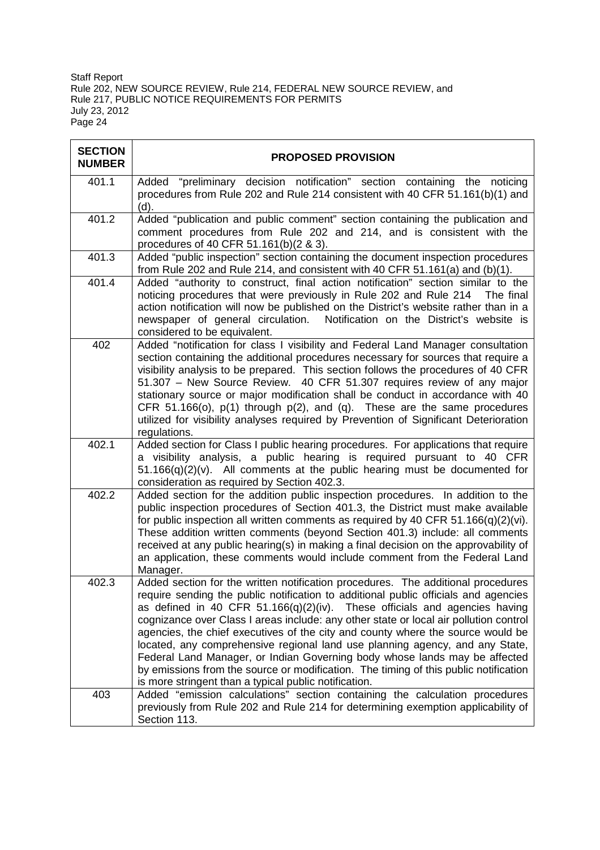| <b>SECTION</b><br><b>NUMBER</b> | <b>PROPOSED PROVISION</b>                                                                                                                                                                                                                                                                                                                                                                                                                                                                                                                                                                                                                                                                                                                        |
|---------------------------------|--------------------------------------------------------------------------------------------------------------------------------------------------------------------------------------------------------------------------------------------------------------------------------------------------------------------------------------------------------------------------------------------------------------------------------------------------------------------------------------------------------------------------------------------------------------------------------------------------------------------------------------------------------------------------------------------------------------------------------------------------|
| 401.1                           | Added "preliminary decision notification" section containing the noticing<br>procedures from Rule 202 and Rule 214 consistent with 40 CFR 51.161(b)(1) and<br>(d).                                                                                                                                                                                                                                                                                                                                                                                                                                                                                                                                                                               |
| 401.2                           | Added "publication and public comment" section containing the publication and<br>comment procedures from Rule 202 and 214, and is consistent with the<br>procedures of 40 CFR 51.161(b)(2 & 3).                                                                                                                                                                                                                                                                                                                                                                                                                                                                                                                                                  |
| 401.3                           | Added "public inspection" section containing the document inspection procedures<br>from Rule 202 and Rule 214, and consistent with 40 CFR $51.161(a)$ and $(b)(1)$ .                                                                                                                                                                                                                                                                                                                                                                                                                                                                                                                                                                             |
| 401.4                           | Added "authority to construct, final action notification" section similar to the<br>noticing procedures that were previously in Rule 202 and Rule 214<br>The final<br>action notification will now be published on the District's website rather than in a<br>Notification on the District's website is<br>newspaper of general circulation.<br>considered to be equivalent.                                                                                                                                                                                                                                                                                                                                                                     |
| 402                             | Added "notification for class I visibility and Federal Land Manager consultation<br>section containing the additional procedures necessary for sources that require a<br>visibility analysis to be prepared. This section follows the procedures of 40 CFR<br>51.307 - New Source Review. 40 CFR 51.307 requires review of any major<br>stationary source or major modification shall be conduct in accordance with 40<br>CFR 51.166(o), $p(1)$ through $p(2)$ , and (q). These are the same procedures<br>utilized for visibility analyses required by Prevention of Significant Deterioration<br>regulations.                                                                                                                                  |
| 402.1                           | Added section for Class I public hearing procedures. For applications that require<br>a visibility analysis, a public hearing is required pursuant to 40 CFR<br>$51.166(q)(2)(v)$ . All comments at the public hearing must be documented for<br>consideration as required by Section 402.3.                                                                                                                                                                                                                                                                                                                                                                                                                                                     |
| 402.2                           | Added section for the addition public inspection procedures. In addition to the<br>public inspection procedures of Section 401.3, the District must make available<br>for public inspection all written comments as required by 40 CFR $51.166(q)(2)(vi)$ .<br>These addition written comments (beyond Section 401.3) include: all comments<br>received at any public hearing(s) in making a final decision on the approvability of<br>an application, these comments would include comment from the Federal Land<br>Manager.                                                                                                                                                                                                                    |
| 402.3                           | Added section for the written notification procedures. The additional procedures<br>require sending the public notification to additional public officials and agencies<br>as defined in 40 CFR 51.166(q)(2)(iv). These officials and agencies having<br>cognizance over Class I areas include: any other state or local air pollution control<br>agencies, the chief executives of the city and county where the source would be<br>located, any comprehensive regional land use planning agency, and any State,<br>Federal Land Manager, or Indian Governing body whose lands may be affected<br>by emissions from the source or modification. The timing of this public notification<br>is more stringent than a typical public notification. |
| 403                             | Added "emission calculations" section containing the calculation procedures<br>previously from Rule 202 and Rule 214 for determining exemption applicability of<br>Section 113.                                                                                                                                                                                                                                                                                                                                                                                                                                                                                                                                                                  |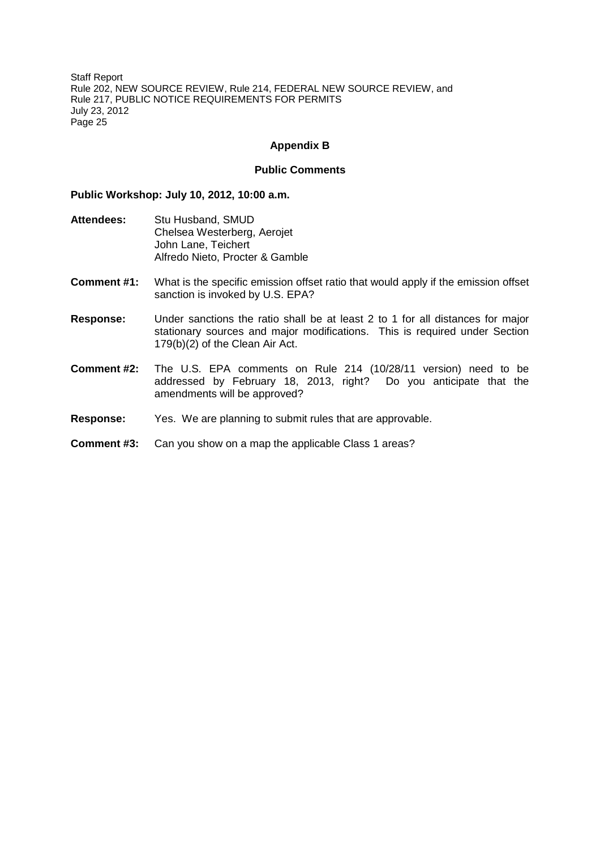### **Appendix B**

### **Public Comments**

### **Public Workshop: July 10, 2012, 10:00 a.m.**

- **Attendees:** Stu Husband, SMUD Chelsea Westerberg, Aerojet John Lane, Teichert Alfredo Nieto, Procter & Gamble
- **Comment #1:** What is the specific emission offset ratio that would apply if the emission offset sanction is invoked by U.S. EPA?
- **Response:** Under sanctions the ratio shall be at least 2 to 1 for all distances for major stationary sources and major modifications. This is required under Section 179(b)(2) of the Clean Air Act.
- **Comment #2:** The U.S. EPA comments on Rule 214 (10/28/11 version) need to be addressed by February 18, 2013, right? Do you anticipate that the amendments will be approved?
- **Response:** Yes. We are planning to submit rules that are approvable.

### **Comment #3:** Can you show on a map the applicable Class 1 areas?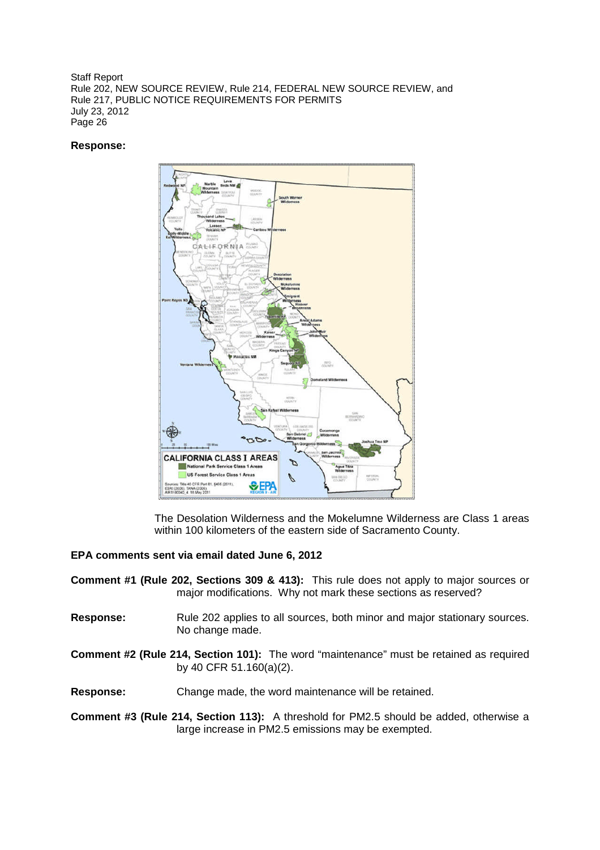### **Response:**



The Desolation Wilderness and the Mokelumne Wilderness are Class 1 areas within 100 kilometers of the eastern side of Sacramento County.

### **EPA comments sent via email dated June 6, 2012**

- **Comment #1 (Rule 202, Sections 309 & 413):** This rule does not apply to major sources or major modifications. Why not mark these sections as reserved?
- **Response:** Rule 202 applies to all sources, both minor and major stationary sources. No change made.
- **Comment #2 (Rule 214, Section 101):** The word "maintenance" must be retained as required by 40 CFR 51.160(a)(2).

**Response:** Change made, the word maintenance will be retained.

**Comment #3 (Rule 214, Section 113):** A threshold for PM2.5 should be added, otherwise a large increase in PM2.5 emissions may be exempted.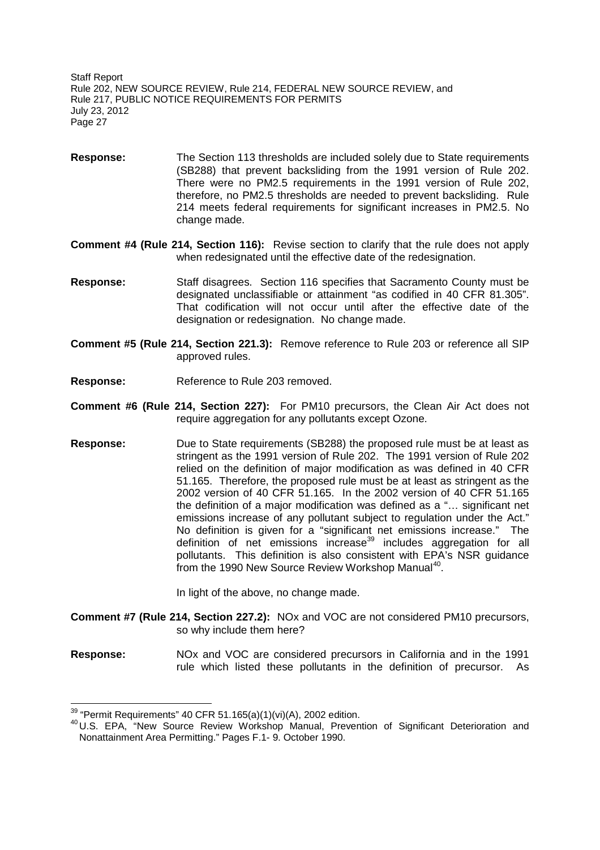- **Response:** The Section 113 thresholds are included solely due to State requirements (SB288) that prevent backsliding from the 1991 version of Rule 202. There were no PM2.5 requirements in the 1991 version of Rule 202, therefore, no PM2.5 thresholds are needed to prevent backsliding. Rule 214 meets federal requirements for significant increases in PM2.5. No change made.
- **Comment #4 (Rule 214, Section 116):** Revise section to clarify that the rule does not apply when redesignated until the effective date of the redesignation.
- **Response:** Staff disagrees. Section 116 specifies that Sacramento County must be designated unclassifiable or attainment "as codified in 40 CFR 81.305". That codification will not occur until after the effective date of the designation or redesignation. No change made.
- **Comment #5 (Rule 214, Section 221.3):** Remove reference to Rule 203 or reference all SIP approved rules.
- **Response:** Reference to Rule 203 removed.
- **Comment #6 (Rule 214, Section 227):** For PM10 precursors, the Clean Air Act does not require aggregation for any pollutants except Ozone.
- **Response:** Due to State requirements (SB288) the proposed rule must be at least as stringent as the 1991 version of Rule 202. The 1991 version of Rule 202 relied on the definition of major modification as was defined in 40 CFR 51.165. Therefore, the proposed rule must be at least as stringent as the 2002 version of 40 CFR 51.165. In the 2002 version of 40 CFR 51.165 the definition of a major modification was defined as a "… significant net emissions increase of any pollutant subject to regulation under the Act." No definition is given for a "significant net emissions increase." The definition of net emissions increase<sup>39</sup> includes aggregation for all pollutants. This definition is also consistent with EPA's NSR guidance from the 1990 New Source Review Workshop Manual<sup>40</sup>.

In light of the above, no change made.

- **Comment #7 (Rule 214, Section 227.2):** NOx and VOC are not considered PM10 precursors, so why include them here?
- **Response:** NOx and VOC are considered precursors in California and in the 1991 rule which listed these pollutants in the definition of precursor. As

 $39$  "Permit Requirements" 40 CFR 51.165(a)(1)(vi)(A), 2002 edition.

<sup>&</sup>lt;sup>40</sup> U.S. EPA, "New Source Review Workshop Manual, Prevention of Significant Deterioration and Nonattainment Area Permitting." Pages F.1- 9. October 1990.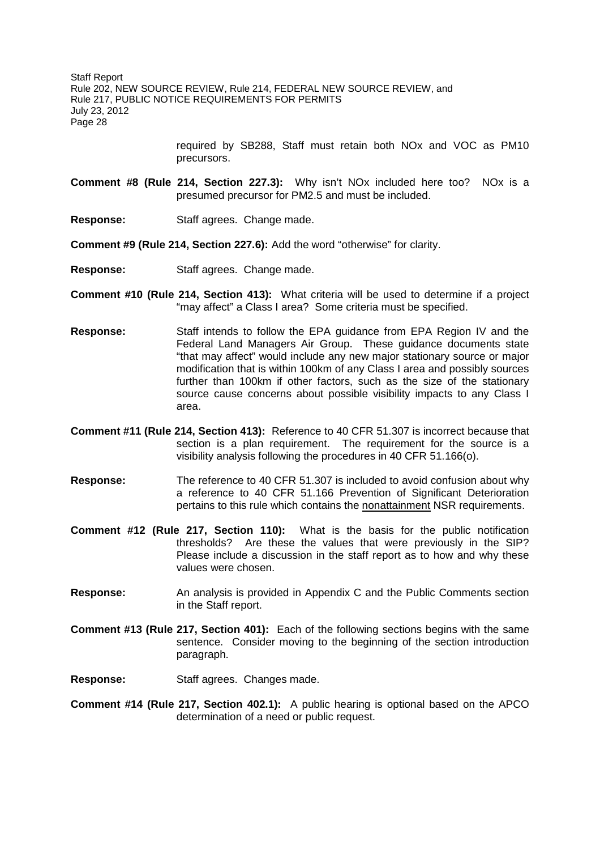> required by SB288, Staff must retain both NOx and VOC as PM10 precursors.

- **Comment #8 (Rule 214, Section 227.3):** Why isn't NOx included here too? NOx is a presumed precursor for PM2.5 and must be included.
- **Response:** Staff agrees. Change made.

**Comment #9 (Rule 214, Section 227.6):** Add the word "otherwise" for clarity.

- **Response:** Staff agrees. Change made.
- **Comment #10 (Rule 214, Section 413):** What criteria will be used to determine if a project "may affect" a Class I area? Some criteria must be specified.
- **Response:** Staff intends to follow the EPA guidance from EPA Region IV and the Federal Land Managers Air Group. These guidance documents state "that may affect" would include any new major stationary source or major modification that is within 100km of any Class I area and possibly sources further than 100km if other factors, such as the size of the stationary source cause concerns about possible visibility impacts to any Class I area.
- **Comment #11 (Rule 214, Section 413):** Reference to 40 CFR 51.307 is incorrect because that section is a plan requirement. The requirement for the source is a visibility analysis following the procedures in 40 CFR 51.166(o).
- **Response:** The reference to 40 CFR 51.307 is included to avoid confusion about why a reference to 40 CFR 51.166 Prevention of Significant Deterioration pertains to this rule which contains the nonattainment NSR requirements.
- **Comment #12 (Rule 217, Section 110):** What is the basis for the public notification thresholds? Are these the values that were previously in the SIP? Please include a discussion in the staff report as to how and why these values were chosen.
- **Response:** An analysis is provided in Appendix C and the Public Comments section in the Staff report.
- **Comment #13 (Rule 217, Section 401):** Each of the following sections begins with the same sentence. Consider moving to the beginning of the section introduction paragraph.
- **Response:** Staff agrees. Changes made.
- **Comment #14 (Rule 217, Section 402.1):** A public hearing is optional based on the APCO determination of a need or public request.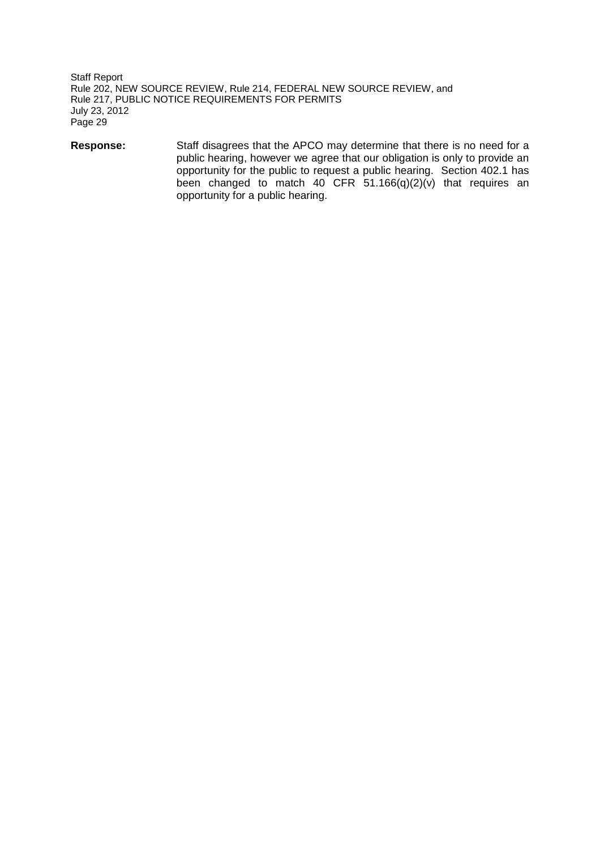**Response:** Staff disagrees that the APCO may determine that there is no need for a public hearing, however we agree that our obligation is only to provide an opportunity for the public to request a public hearing. Section 402.1 has been changed to match 40 CFR  $51.166(q)(2)(v)$  that requires an opportunity for a public hearing.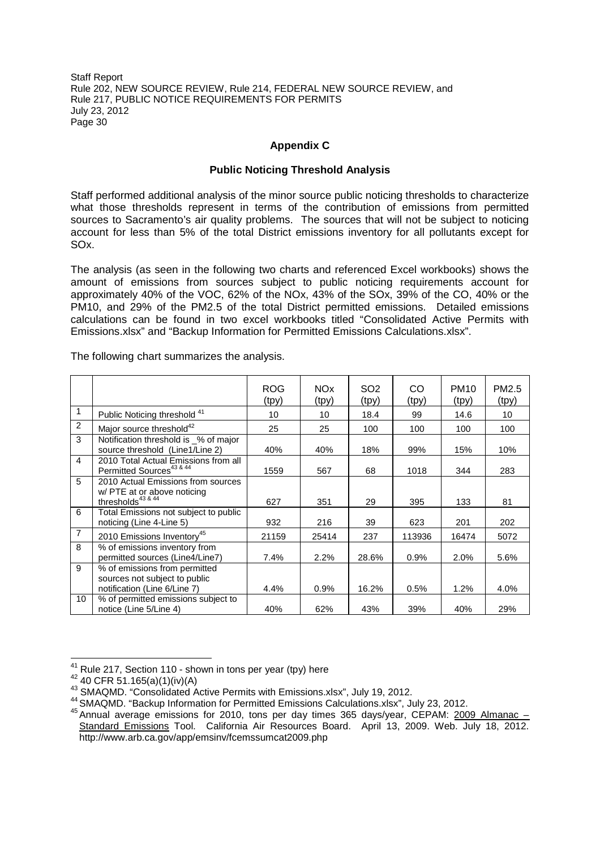## **Appendix C**

### **Public Noticing Threshold Analysis**

Staff performed additional analysis of the minor source public noticing thresholds to characterize what those thresholds represent in terms of the contribution of emissions from permitted sources to Sacramento's air quality problems. The sources that will not be subject to noticing account for less than 5% of the total District emissions inventory for all pollutants except for SOx.

The analysis (as seen in the following two charts and referenced Excel workbooks) shows the amount of emissions from sources subject to public noticing requirements account for approximately 40% of the VOC, 62% of the NOx, 43% of the SOx, 39% of the CO, 40% or the PM10, and 29% of the PM2.5 of the total District permitted emissions. Detailed emissions calculations can be found in two excel workbooks titled "Consolidated Active Permits with Emissions.xlsx" and "Backup Information for Permitted Emissions Calculations.xlsx".

|                |                                                                                                        | <b>ROG</b><br>(tpy) | <b>NOx</b><br>(tpy) | SO <sub>2</sub><br>(tpy) | CO<br>(tpy) | <b>PM10</b><br>(tpy) | PM <sub>2.5</sub><br>(tpy) |
|----------------|--------------------------------------------------------------------------------------------------------|---------------------|---------------------|--------------------------|-------------|----------------------|----------------------------|
| 1              | Public Noticing threshold 41                                                                           | 10                  | 10                  | 18.4                     | 99          | 14.6                 | 10                         |
| $\overline{2}$ | Major source threshold <sup>42</sup>                                                                   | 25                  | 25                  | 100                      | 100         | 100                  | 100                        |
| 3              | Notification threshold is _% of major<br>source threshold (Line1/Line 2)                               | 40%                 | 40%                 | 18%                      | 99%         | 15%                  | 10%                        |
| 4              | 2010 Total Actual Emissions from all<br>Permitted Sources <sup>43 &amp; 44</sup>                       | 1559                | 567                 | 68                       | 1018        | 344                  | 283                        |
| 5              | 2010 Actual Emissions from sources<br>w/ PTE at or above noticing<br>thresholds <sup>43 &amp; 44</sup> | 627                 | 351                 | 29                       | 395         | 133                  | 81                         |
| 6              | Total Emissions not subject to public<br>noticing (Line 4-Line 5)                                      | 932                 | 216                 | 39                       | 623         | 201                  | 202                        |
| $\overline{7}$ | 2010 Emissions Inventory <sup>45</sup>                                                                 | 21159               | 25414               | 237                      | 113936      | 16474                | 5072                       |
| 8              | % of emissions inventory from<br>permitted sources (Line4/Line7)                                       | 7.4%                | 2.2%                | 28.6%                    | 0.9%        | 2.0%                 | 5.6%                       |
| 9              | % of emissions from permitted<br>sources not subject to public<br>notification (Line 6/Line 7)         | 4.4%                | 0.9%                | 16.2%                    | 0.5%        | 1.2%                 | 4.0%                       |
| 10             | % of permitted emissions subject to<br>notice (Line 5/Line 4)                                          | 40%                 | 62%                 | 43%                      | 39%         | 40%                  | 29%                        |

The following chart summarizes the analysis.

<sup>&</sup>lt;sup>41</sup> Rule 217, Section 110 - shown in tons per year (tpy) here

 $42$  40 CFR 51.165(a)(1)(iv)(A)

<sup>&</sup>lt;sup>43</sup> SMAQMD. "Consolidated Active Permits with Emissions.xlsx", July 19, 2012.

<sup>44</sup> SMAQMD. "Backup Information for Permitted Emissions Calculations.xlsx", July 23, 2012.

<sup>45</sup> Annual average emissions for 2010, tons per day times 365 days/year, CEPAM: 2009 Almanac – Standard Emissions Tool. California Air Resources Board. April 13, 2009. Web. July 18, 2012. http://www.arb.ca.gov/app/emsinv/fcemssumcat2009.php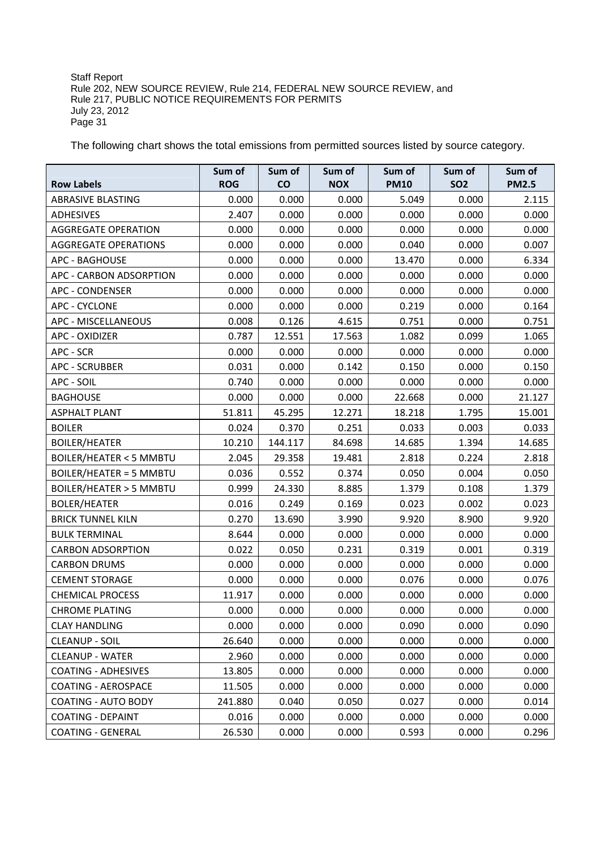The following chart shows the total emissions from permitted sources listed by source category.

| <b>Row Labels</b>                 | Sum of<br><b>ROG</b> | Sum of<br>co | Sum of<br><b>NOX</b> | Sum of<br><b>PM10</b> | Sum of<br><b>SO2</b> | Sum of<br><b>PM2.5</b> |
|-----------------------------------|----------------------|--------------|----------------------|-----------------------|----------------------|------------------------|
| <b>ABRASIVE BLASTING</b>          | 0.000                | 0.000        | 0.000                | 5.049                 | 0.000                | 2.115                  |
| ADHESIVES                         | 2.407                | 0.000        | 0.000                | 0.000                 | 0.000                | 0.000                  |
| <b>AGGREGATE OPERATION</b>        | 0.000                | 0.000        | 0.000                | 0.000                 | 0.000                | 0.000                  |
| <b>AGGREGATE OPERATIONS</b>       | 0.000                | 0.000        | 0.000                | 0.040                 | 0.000                | 0.007                  |
| <b>APC - BAGHOUSE</b>             | 0.000                | 0.000        | 0.000                | 13.470                | 0.000                | 6.334                  |
| <b>APC - CARBON ADSORPTION</b>    | 0.000                | 0.000        | 0.000                | 0.000                 | 0.000                | 0.000                  |
| <b>APC - CONDENSER</b>            | 0.000                | 0.000        | 0.000                | 0.000                 | 0.000                | 0.000                  |
| <b>APC - CYCLONE</b>              | 0.000                | 0.000        | 0.000                | 0.219                 | 0.000                | 0.164                  |
| APC - MISCELLANEOUS               | 0.008                | 0.126        | 4.615                | 0.751                 | 0.000                | 0.751                  |
| <b>APC - OXIDIZER</b>             | 0.787                | 12.551       | 17.563               | 1.082                 | 0.099                | 1.065                  |
| APC - SCR                         | 0.000                | 0.000        | 0.000                | 0.000                 | 0.000                | 0.000                  |
| <b>APC - SCRUBBER</b>             | 0.031                | 0.000        | 0.142                | 0.150                 | 0.000                | 0.150                  |
| APC - SOIL                        | 0.740                | 0.000        | 0.000                | 0.000                 | 0.000                | 0.000                  |
| <b>BAGHOUSE</b>                   | 0.000                | 0.000        | 0.000                | 22.668                | 0.000                | 21.127                 |
| <b>ASPHALT PLANT</b>              | 51.811               | 45.295       | 12.271               | 18.218                | 1.795                | 15.001                 |
| <b>BOILER</b>                     | 0.024                | 0.370        | 0.251                | 0.033                 | 0.003                | 0.033                  |
| <b>BOILER/HEATER</b>              | 10.210               | 144.117      | 84.698               | 14.685                | 1.394                | 14.685                 |
| <b>BOILER/HEATER &lt; 5 MMBTU</b> | 2.045                | 29.358       | 19.481               | 2.818                 | 0.224                | 2.818                  |
| <b>BOILER/HEATER = 5 MMBTU</b>    | 0.036                | 0.552        | 0.374                | 0.050                 | 0.004                | 0.050                  |
| <b>BOILER/HEATER &gt; 5 MMBTU</b> | 0.999                | 24.330       | 8.885                | 1.379                 | 0.108                | 1.379                  |
| <b>BOLER/HEATER</b>               | 0.016                | 0.249        | 0.169                | 0.023                 | 0.002                | 0.023                  |
| <b>BRICK TUNNEL KILN</b>          | 0.270                | 13.690       | 3.990                | 9.920                 | 8.900                | 9.920                  |
| <b>BULK TERMINAL</b>              | 8.644                | 0.000        | 0.000                | 0.000                 | 0.000                | 0.000                  |
| <b>CARBON ADSORPTION</b>          | 0.022                | 0.050        | 0.231                | 0.319                 | 0.001                | 0.319                  |
| <b>CARBON DRUMS</b>               | 0.000                | 0.000        | 0.000                | 0.000                 | 0.000                | 0.000                  |
| <b>CEMENT STORAGE</b>             | 0.000                | 0.000        | 0.000                | 0.076                 | 0.000                | 0.076                  |
| <b>CHEMICAL PROCESS</b>           | 11.917               | 0.000        | 0.000                | 0.000                 | 0.000                | 0.000                  |
| <b>CHROME PLATING</b>             | 0.000                | 0.000        | 0.000                | 0.000                 | 0.000                | 0.000                  |
| <b>CLAY HANDLING</b>              | 0.000                | 0.000        | 0.000                | 0.090                 | 0.000                | 0.090                  |
| <b>CLEANUP - SOIL</b>             | 26.640               | 0.000        | 0.000                | 0.000                 | 0.000                | 0.000                  |
| <b>CLEANUP - WATER</b>            | 2.960                | 0.000        | 0.000                | 0.000                 | 0.000                | 0.000                  |
| <b>COATING - ADHESIVES</b>        | 13.805               | 0.000        | 0.000                | 0.000                 | 0.000                | 0.000                  |
| <b>COATING - AEROSPACE</b>        | 11.505               | 0.000        | 0.000                | 0.000                 | 0.000                | 0.000                  |
| <b>COATING - AUTO BODY</b>        | 241.880              | 0.040        | 0.050                | 0.027                 | 0.000                | 0.014                  |
| <b>COATING - DEPAINT</b>          | 0.016                | 0.000        | 0.000                | 0.000                 | 0.000                | 0.000                  |
| <b>COATING - GENERAL</b>          | 26.530               | 0.000        | 0.000                | 0.593                 | 0.000                | 0.296                  |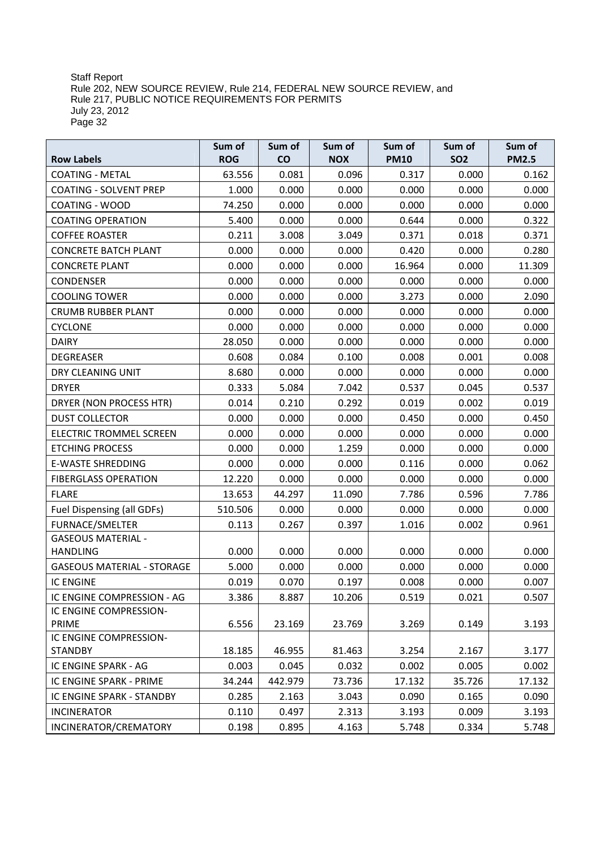|                                   | Sum of     | Sum of  | Sum of     | Sum of      | Sum of     | Sum of       |
|-----------------------------------|------------|---------|------------|-------------|------------|--------------|
| <b>Row Labels</b>                 | <b>ROG</b> | co      | <b>NOX</b> | <b>PM10</b> | <b>SO2</b> | <b>PM2.5</b> |
| <b>COATING - METAL</b>            | 63.556     | 0.081   | 0.096      | 0.317       | 0.000      | 0.162        |
| <b>COATING - SOLVENT PREP</b>     | 1.000      | 0.000   | 0.000      | 0.000       | 0.000      | 0.000        |
| COATING - WOOD                    | 74.250     | 0.000   | 0.000      | 0.000       | 0.000      | 0.000        |
| <b>COATING OPERATION</b>          | 5.400      | 0.000   | 0.000      | 0.644       | 0.000      | 0.322        |
| <b>COFFEE ROASTER</b>             | 0.211      | 3.008   | 3.049      | 0.371       | 0.018      | 0.371        |
| <b>CONCRETE BATCH PLANT</b>       | 0.000      | 0.000   | 0.000      | 0.420       | 0.000      | 0.280        |
| <b>CONCRETE PLANT</b>             | 0.000      | 0.000   | 0.000      | 16.964      | 0.000      | 11.309       |
| <b>CONDENSER</b>                  | 0.000      | 0.000   | 0.000      | 0.000       | 0.000      | 0.000        |
| <b>COOLING TOWER</b>              | 0.000      | 0.000   | 0.000      | 3.273       | 0.000      | 2.090        |
| <b>CRUMB RUBBER PLANT</b>         | 0.000      | 0.000   | 0.000      | 0.000       | 0.000      | 0.000        |
| <b>CYCLONE</b>                    | 0.000      | 0.000   | 0.000      | 0.000       | 0.000      | 0.000        |
| <b>DAIRY</b>                      | 28.050     | 0.000   | 0.000      | 0.000       | 0.000      | 0.000        |
| <b>DEGREASER</b>                  | 0.608      | 0.084   | 0.100      | 0.008       | 0.001      | 0.008        |
| DRY CLEANING UNIT                 | 8.680      | 0.000   | 0.000      | 0.000       | 0.000      | 0.000        |
| <b>DRYER</b>                      | 0.333      | 5.084   | 7.042      | 0.537       | 0.045      | 0.537        |
| DRYER (NON PROCESS HTR)           | 0.014      | 0.210   | 0.292      | 0.019       | 0.002      | 0.019        |
| <b>DUST COLLECTOR</b>             | 0.000      | 0.000   | 0.000      | 0.450       | 0.000      | 0.450        |
| <b>ELECTRIC TROMMEL SCREEN</b>    | 0.000      | 0.000   | 0.000      | 0.000       | 0.000      | 0.000        |
| <b>ETCHING PROCESS</b>            | 0.000      | 0.000   | 1.259      | 0.000       | 0.000      | 0.000        |
| <b>E-WASTE SHREDDING</b>          | 0.000      | 0.000   | 0.000      | 0.116       | 0.000      | 0.062        |
| <b>FIBERGLASS OPERATION</b>       | 12.220     | 0.000   | 0.000      | 0.000       | 0.000      | 0.000        |
| <b>FLARE</b>                      | 13.653     | 44.297  | 11.090     | 7.786       | 0.596      | 7.786        |
| Fuel Dispensing (all GDFs)        | 510.506    | 0.000   | 0.000      | 0.000       | 0.000      | 0.000        |
| <b>FURNACE/SMELTER</b>            | 0.113      | 0.267   | 0.397      | 1.016       | 0.002      | 0.961        |
| <b>GASEOUS MATERIAL -</b>         |            |         |            |             |            |              |
| <b>HANDLING</b>                   | 0.000      | 0.000   | 0.000      | 0.000       | 0.000      | 0.000        |
| <b>GASEOUS MATERIAL - STORAGE</b> | 5.000      | 0.000   | 0.000      | 0.000       | 0.000      | 0.000        |
| <b>IC ENGINE</b>                  | 0.019      | 0.070   | 0.197      | 0.008       | 0.000      | 0.007        |
| IC ENGINE COMPRESSION - AG        | 3.386      | 8.887   | 10.206     | 0.519       | 0.021      | 0.507        |
| IC ENGINE COMPRESSION-            |            |         |            |             |            |              |
| PRIME                             | 6.556      | 23.169  | 23.769     | 3.269       | 0.149      | 3.193        |
| IC ENGINE COMPRESSION-            |            |         |            |             |            |              |
| <b>STANDBY</b>                    | 18.185     | 46.955  | 81.463     | 3.254       | 2.167      | 3.177        |
| IC ENGINE SPARK - AG              | 0.003      | 0.045   | 0.032      | 0.002       | 0.005      | 0.002        |
| IC ENGINE SPARK - PRIME           | 34.244     | 442.979 | 73.736     | 17.132      | 35.726     | 17.132       |
| IC ENGINE SPARK - STANDBY         | 0.285      | 2.163   | 3.043      | 0.090       | 0.165      | 0.090        |
| <b>INCINERATOR</b>                | 0.110      | 0.497   | 2.313      | 3.193       | 0.009      | 3.193        |
| INCINERATOR/CREMATORY             | 0.198      | 0.895   | 4.163      | 5.748       | 0.334      | 5.748        |